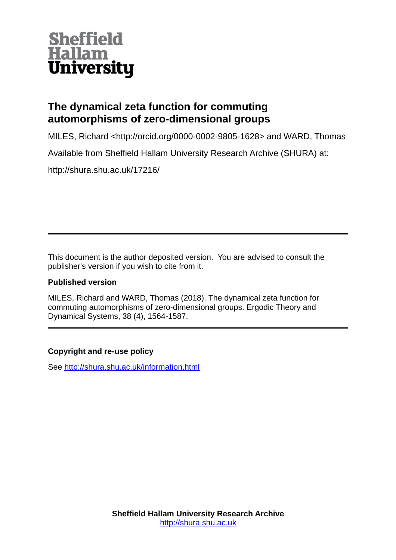

# **The dynamical zeta function for commuting automorphisms of zero-dimensional groups**

MILES, Richard <http://orcid.org/0000-0002-9805-1628> and WARD, Thomas

Available from Sheffield Hallam University Research Archive (SHURA) at:

http://shura.shu.ac.uk/17216/

This document is the author deposited version. You are advised to consult the publisher's version if you wish to cite from it.

# **Published version**

MILES, Richard and WARD, Thomas (2018). The dynamical zeta function for commuting automorphisms of zero-dimensional groups. Ergodic Theory and Dynamical Systems, 38 (4), 1564-1587.

# **Copyright and re-use policy**

See<http://shura.shu.ac.uk/information.html>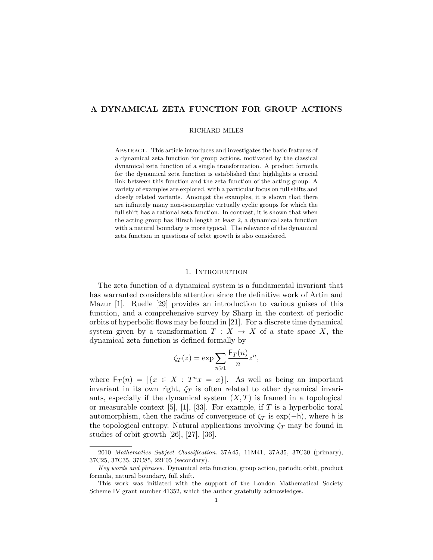# A DYNAMICAL ZETA FUNCTION FOR GROUP ACTIONS

#### RICHARD MILES

Abstract. This article introduces and investigates the basic features of a dynamical zeta function for group actions, motivated by the classical dynamical zeta function of a single transformation. A product formula for the dynamical zeta function is established that highlights a crucial link between this function and the zeta function of the acting group. A variety of examples are explored, with a particular focus on full shifts and closely related variants. Amongst the examples, it is shown that there are infinitely many non-isomorphic virtually cyclic groups for which the full shift has a rational zeta function. In contrast, it is shown that when the acting group has Hirsch length at least 2, a dynamical zeta function with a natural boundary is more typical. The relevance of the dynamical zeta function in questions of orbit growth is also considered.

# 1. INTRODUCTION

The zeta function of a dynamical system is a fundamental invariant that has warranted considerable attention since the definitive work of Artin and Mazur [1]. Ruelle [29] provides an introduction to various guises of this function, and a comprehensive survey by Sharp in the context of periodic orbits of hyperbolic flows may be found in [21]. For a discrete time dynamical system given by a transformation  $T : X \to X$  of a state space X, the dynamical zeta function is defined formally by

$$
\zeta_T(z) = \exp \sum_{n \geq 1} \frac{\mathsf{F}_T(n)}{n} z^n,
$$

where  $F_T(n) = |\{x \in X : T^n x = x\}|$ . As well as being an important invariant in its own right,  $\zeta_T$  is often related to other dynamical invariants, especially if the dynamical system  $(X, T)$  is framed in a topological or measurable context [5], [1], [33]. For example, if  $T$  is a hyperbolic toral automorphism, then the radius of convergence of  $\zeta_T$  is exp(-h), where h is the topological entropy. Natural applications involving  $\zeta_T$  may be found in studies of orbit growth [26], [27], [36].

<sup>2010</sup> Mathematics Subject Classification. 37A45, 11M41, 37A35, 37C30 (primary), 37C25, 37C35, 37C85, 22F05 (secondary).

Key words and phrases. Dynamical zeta function, group action, periodic orbit, product formula, natural boundary, full shift.

This work was initiated with the support of the London Mathematical Society Scheme IV grant number 41352, which the author gratefully acknowledges.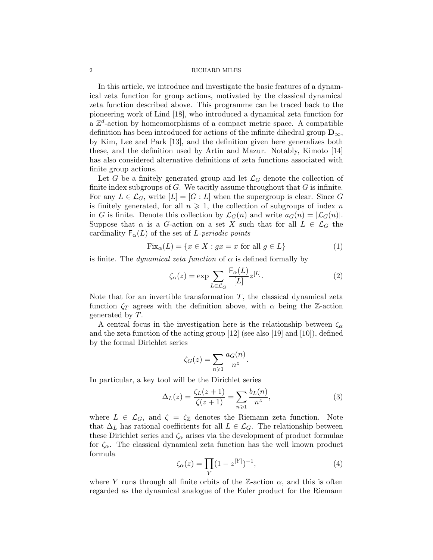In this article, we introduce and investigate the basic features of a dynamical zeta function for group actions, motivated by the classical dynamical zeta function described above. This programme can be traced back to the pioneering work of Lind [18], who introduced a dynamical zeta function for  $a \mathbb{Z}^d$ -action by homeomorphisms of a compact metric space. A compatible definition has been introduced for actions of the infinite dihedral group  $\mathbf{D}_{\infty},$ by Kim, Lee and Park [13], and the definition given here generalizes both these, and the definition used by Artin and Mazur. Notably, Kimoto [14] has also considered alternative definitions of zeta functions associated with finite group actions.

Let G be a finitely generated group and let  $\mathcal{L}_G$  denote the collection of finite index subgroups of  $G$ . We tacitly assume throughout that  $G$  is infinite. For any  $L \in \mathcal{L}_G$ , write  $[L] = [G : L]$  when the supergroup is clear. Since G is finitely generated, for all  $n \geq 1$ , the collection of subgroups of index n in G is finite. Denote this collection by  $\mathcal{L}_G(n)$  and write  $a_G(n) = |\mathcal{L}_G(n)|$ . Suppose that  $\alpha$  is a G-action on a set X such that for all  $L \in \mathcal{L}_G$  the cardinality  $F_{\alpha}(L)$  of the set of L-periodic points

$$
Fix_{\alpha}(L) = \{x \in X : gx = x \text{ for all } g \in L\}
$$
\n(1)

is finite. The *dynamical zeta function* of  $\alpha$  is defined formally by

$$
\zeta_{\alpha}(z) = \exp \sum_{L \in \mathcal{L}_G} \frac{\mathsf{F}_{\alpha}(L)}{[L]} z^{[L]}.
$$
 (2)

Note that for an invertible transformation  $T$ , the classical dynamical zeta function  $\zeta_T$  agrees with the definition above, with  $\alpha$  being the Z-action generated by T.

A central focus in the investigation here is the relationship between  $\zeta_{\alpha}$ and the zeta function of the acting group [12] (see also [19] and [10]), defined by the formal Dirichlet series

$$
\zeta_G(z) = \sum_{n \geqslant 1} \frac{a_G(n)}{n^z}.
$$

In particular, a key tool will be the Dirichlet series

$$
\Delta_L(z) = \frac{\zeta_L(z+1)}{\zeta(z+1)} = \sum_{n \ge 1} \frac{b_L(n)}{n^z},\tag{3}
$$

where  $L \in \mathcal{L}_G$ , and  $\zeta = \zeta_{\mathbb{Z}}$  denotes the Riemann zeta function. Note that  $\Delta_L$  has rational coefficients for all  $L \in \mathcal{L}_G$ . The relationship between these Dirichlet series and  $\zeta_{\alpha}$  arises via the development of product formulae for  $\zeta_{\alpha}$ . The classical dynamical zeta function has the well known product formula

$$
\zeta_{\alpha}(z) = \prod_{Y} (1 - z^{|Y|})^{-1},\tag{4}
$$

where Y runs through all finite orbits of the Z-action  $\alpha$ , and this is often regarded as the dynamical analogue of the Euler product for the Riemann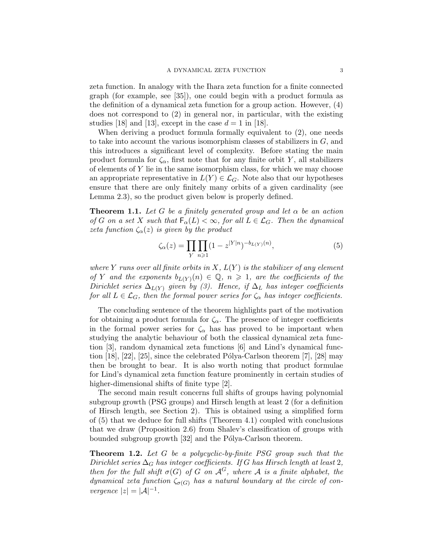zeta function. In analogy with the Ihara zeta function for a finite connected graph (for example, see [35]), one could begin with a product formula as the definition of a dynamical zeta function for a group action. However, (4) does not correspond to (2) in general nor, in particular, with the existing studies [18] and [13], except in the case  $d = 1$  in [18].

When deriving a product formula formally equivalent to (2), one needs to take into account the various isomorphism classes of stabilizers in  $G$ , and this introduces a significant level of complexity. Before stating the main product formula for  $\zeta_{\alpha}$ , first note that for any finite orbit Y, all stabilizers of elements of  $Y$  lie in the same isomorphism class, for which we may choose an appropriate representative in  $L(Y) \in \mathcal{L}_G$ . Note also that our hypotheses ensure that there are only finitely many orbits of a given cardinality (see Lemma 2.3), so the product given below is properly defined.

**Theorem 1.1.** Let G be a finitely generated group and let  $\alpha$  be an action of G on a set X such that  $\mathsf{F}_{\alpha}(L) < \infty$ , for all  $L \in \mathcal{L}_G$ . Then the dynamical zeta function  $\zeta_{\alpha}(z)$  is given by the product

$$
\zeta_{\alpha}(z) = \prod_{Y} \prod_{n \geqslant 1} (1 - z^{|Y|n})^{-b_{L(Y)}(n)},\tag{5}
$$

where Y runs over all finite orbits in  $X, L(Y)$  is the stabilizer of any element of Y and the exponents  $b_{L(Y)}(n) \in \mathbb{Q}$ ,  $n \geq 1$ , are the coefficients of the Dirichlet series  $\Delta_{L(Y)}$  given by (3). Hence, if  $\Delta_L$  has integer coefficients for all  $L \in \mathcal{L}_G$ , then the formal power series for  $\zeta_\alpha$  has integer coefficients.

The concluding sentence of the theorem highlights part of the motivation for obtaining a product formula for  $\zeta_{\alpha}$ . The presence of integer coefficients in the formal power series for  $\zeta_{\alpha}$  has has proved to be important when studying the analytic behaviour of both the classical dynamical zeta function [3], random dynamical zeta functions [6] and Lind's dynamical function [18], [22], [25], since the celebrated Pólya-Carlson theorem [7], [28] may then be brought to bear. It is also worth noting that product formulae for Lind's dynamical zeta function feature prominently in certain studies of higher-dimensional shifts of finite type [2].

The second main result concerns full shifts of groups having polynomial subgroup growth (PSG groups) and Hirsch length at least 2 (for a definition of Hirsch length, see Section 2). This is obtained using a simplified form of (5) that we deduce for full shifts (Theorem 4.1) coupled with conclusions that we draw (Proposition 2.6) from Shalev's classification of groups with bounded subgroup growth [32] and the Pólya-Carlson theorem.

**Theorem 1.2.** Let G be a polycyclic-by-finite PSG group such that the Dirichlet series  $\Delta_G$  has integer coefficients. If G has Hirsch length at least 2, then for the full shift  $\sigma(G)$  of G on  $\mathcal{A}^G$ , where A is a finite alphabet, the dynamical zeta function  $\zeta_{\sigma(G)}$  has a natural boundary at the circle of convergence  $|z| = |A|^{-1}$ .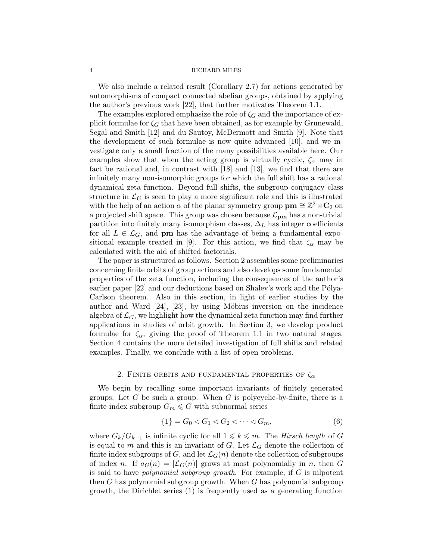We also include a related result (Corollary 2.7) for actions generated by automorphisms of compact connected abelian groups, obtained by applying the author's previous work [22], that further motivates Theorem 1.1.

The examples explored emphasize the role of  $\zeta_G$  and the importance of explicit formulae for  $\zeta_G$  that have been obtained, as for example by Grunewald, Segal and Smith [12] and du Sautoy, McDermott and Smith [9]. Note that the development of such formulae is now quite advanced [10], and we investigate only a small fraction of the many possibilities available here. Our examples show that when the acting group is virtually cyclic,  $\zeta_{\alpha}$  may in fact be rational and, in contrast with [18] and [13], we find that there are infinitely many non-isomorphic groups for which the full shift has a rational dynamical zeta function. Beyond full shifts, the subgroup conjugacy class structure in  $\mathcal{L}_G$  is seen to play a more significant role and this is illustrated with the help of an action  $\alpha$  of the planar symmetry group  $\textbf{pm} \cong \mathbb{Z}^2 \rtimes \mathbf{C}_2$  on a projected shift space. This group was chosen because  $\mathcal{L}_{\mathbf{p}\mathbf{m}}$  has a non-trivial partition into finitely many isomorphism classes,  $\Delta_L$  has integer coefficients for all  $L \in \mathcal{L}_G$ , and **pm** has the advantage of being a fundamental expositional example treated in [9]. For this action, we find that  $\zeta_{\alpha}$  may be calculated with the aid of shifted factorials.

The paper is structured as follows. Section 2 assembles some preliminaries concerning finite orbits of group actions and also develops some fundamental properties of the zeta function, including the consequences of the author's earlier paper [22] and our deductions based on Shalev's work and the Pólya-Carlson theorem. Also in this section, in light of earlier studies by the author and Ward  $[24]$ ,  $[23]$ , by using Möbius inversion on the incidence algebra of  $\mathcal{L}_G$ , we highlight how the dynamical zeta function may find further applications in studies of orbit growth. In Section 3, we develop product formulae for  $\zeta_{\alpha}$ , giving the proof of Theorem 1.1 in two natural stages. Section 4 contains the more detailed investigation of full shifts and related examples. Finally, we conclude with a list of open problems.

#### 2. FINITE ORBITS AND FUNDAMENTAL PROPERTIES OF  $\zeta_{\alpha}$

We begin by recalling some important invariants of finitely generated groups. Let G be such a group. When G is polycyclic-by-finite, there is a finite index subgroup  $G_m \leq G$  with subnormal series

$$
\{1\} = G_0 \lhd G_1 \lhd G_2 \lhd \cdots \lhd G_m,\tag{6}
$$

where  $G_k/G_{k-1}$  is infinite cyclic for all  $1 \leq k \leq m$ . The Hirsch length of G is equal to m and this is an invariant of G. Let  $\mathcal{L}_G$  denote the collection of finite index subgroups of G, and let  $\mathcal{L}_G(n)$  denote the collection of subgroups of index n. If  $a_G(n) = |\mathcal{L}_G(n)|$  grows at most polynomially in n, then G is said to have polynomial subgroup growth. For example, if G is nilpotent then  $G$  has polynomial subgroup growth. When  $G$  has polynomial subgroup growth, the Dirichlet series (1) is frequently used as a generating function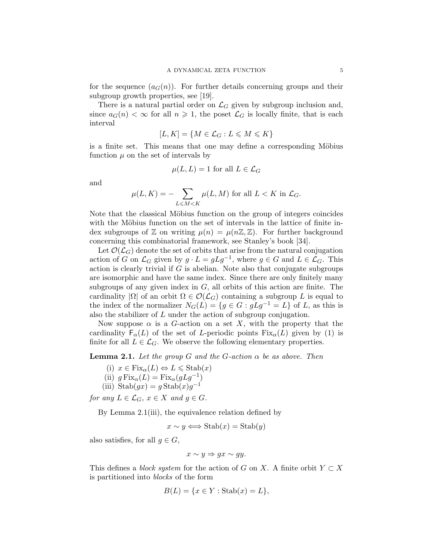for the sequence  $(a_G(n))$ . For further details concerning groups and their subgroup growth properties, see [19].

There is a natural partial order on  $\mathcal{L}_G$  given by subgroup inclusion and, since  $a_G(n) < \infty$  for all  $n \geq 1$ , the poset  $\mathcal{L}_G$  is locally finite, that is each interval

$$
[L,K] = \{ M \in \mathcal{L}_G : L \leqslant M \leqslant K \}
$$

is a finite set. This means that one may define a corresponding Möbius function  $\mu$  on the set of intervals by

$$
\mu(L, L) = 1 \text{ for all } L \in \mathcal{L}_G
$$

and

$$
\mu(L, K) = -\sum_{L \le M < K} \mu(L, M) \text{ for all } L < K \text{ in } \mathcal{L}_G.
$$

Note that the classical Möbius function on the group of integers coincides with the Möbius function on the set of intervals in the lattice of finite index subgroups of  $\mathbb Z$  on writing  $\mu(n) = \mu(n\mathbb Z, \mathbb Z)$ . For further background concerning this combinatorial framework, see Stanley's book [34].

Let  $\mathcal{O}(\mathcal{L}_G)$  denote the set of orbits that arise from the natural conjugation action of G on  $\mathcal{L}_G$  given by  $g \cdot L = gLg^{-1}$ , where  $g \in G$  and  $L \in \mathcal{L}_G$ . This action is clearly trivial if  $G$  is abelian. Note also that conjugate subgroups are isomorphic and have the same index. Since there are only finitely many subgroups of any given index in  $G$ , all orbits of this action are finite. The cardinality  $|\Omega|$  of an orbit  $\Omega \in \mathcal{O}(\mathcal{L}_G)$  containing a subgroup L is equal to the index of the normalizer  $N_G(L) = \{g \in G : gLg^{-1} = L\}$  of L, as this is also the stabilizer of L under the action of subgroup conjugation.

Now suppose  $\alpha$  is a G-action on a set X, with the property that the cardinality  $F_{\alpha}(L)$  of the set of L-periodic points  $Fix_{\alpha}(L)$  given by (1) is finite for all  $L \in \mathcal{L}_G$ . We observe the following elementary properties.

**Lemma 2.1.** Let the group G and the G-action  $\alpha$  be as above. Then

- (i)  $x \in \text{Fix}_{\alpha}(L) \Leftrightarrow L \leq \text{Stab}(x)$
- (ii)  $g Fix_{\alpha}(L) = Fix_{\alpha}(gLg^{-1})$
- (iii) Stab $(gx) = g$ Stab $(x)g^{-1}$

for any  $L \in \mathcal{L}_G$ ,  $x \in X$  and  $g \in G$ .

By Lemma 2.1(iii), the equivalence relation defined by

$$
x \sim y \Longleftrightarrow \text{Stab}(x) = \text{Stab}(y)
$$

also satisfies, for all  $g \in G$ ,

$$
x \sim y \Rightarrow gx \sim gy.
$$

This defines a *block system* for the action of G on X. A finite orbit  $Y \subset X$ is partitioned into blocks of the form

$$
B(L) = \{x \in Y : \text{Stab}(x) = L\},\
$$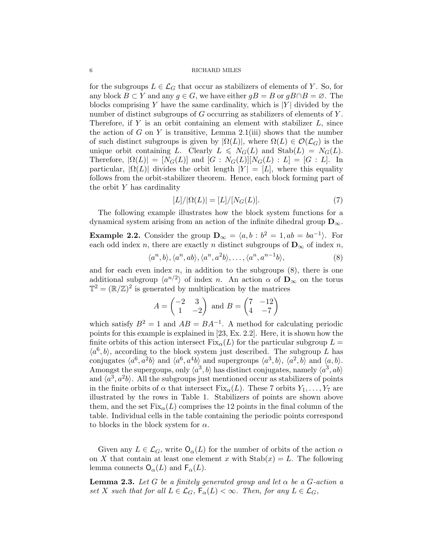for the subgroups  $L \in \mathcal{L}_G$  that occur as stabilizers of elements of Y. So, for any block  $B \subset Y$  and any  $g \in G$ , we have either  $gB = B$  or  $gB \cap B = \emptyset$ . The blocks comprising Y have the same cardinality, which is  $|Y|$  divided by the number of distinct subgroups of G occurring as stabilizers of elements of Y. Therefore, if  $Y$  is an orbit containing an element with stabilizer  $L$ , since the action of G on Y is transitive, Lemma 2.1(iii) shows that the number of such distinct subgroups is given by  $|\Omega(L)|$ , where  $\Omega(L) \in \mathcal{O}(\mathcal{L}_G)$  is the unique orbit containing L. Clearly  $L \leq N_G(L)$  and  $\text{Stab}(L) = N_G(L)$ . Therefore,  $|\Omega(L)| = [N_G(L)]$  and  $[G : N_G(L)][N_G(L) : L] = [G : L]$ . In particular,  $|\Omega(L)|$  divides the orbit length  $|Y| = |L|$ , where this equality follows from the orbit-stabilizer theorem. Hence, each block forming part of the orbit  $Y$  has cardinality

$$
[L]/|\Omega(L)| = [L]/[N_G(L)].\tag{7}
$$

The following example illustrates how the block system functions for a dynamical system arising from an action of the infinite dihedral group  $D_{\infty}$ .

**Example 2.2.** Consider the group  $\mathbf{D}_{\infty} = \langle a, b : b^2 = 1, ab = ba^{-1} \rangle$ . For each odd index n, there are exactly n distinct subgroups of  $\mathbf{D}_{\infty}$  of index n,

$$
\langle a^n, b \rangle, \langle a^n, ab \rangle, \langle a^n, a^2b \rangle, \dots, \langle a^n, a^{n-1}b \rangle,
$$
\n(8)

and for each even index  $n$ , in addition to the subgroups  $(8)$ , there is one additional subgroup  $\langle a^{n/2} \rangle$  of index n. An action  $\alpha$  of  $\mathbf{D}_{\infty}$  on the torus  $\mathbb{T}^2 = (\mathbb{R}/\mathbb{Z})^2$  is generated by multiplication by the matrices

$$
A = \begin{pmatrix} -2 & 3 \\ 1 & -2 \end{pmatrix} \text{ and } B = \begin{pmatrix} 7 & -12 \\ 4 & -7 \end{pmatrix}
$$

which satisfy  $B^2 = 1$  and  $AB = BA^{-1}$ . A method for calculating periodic points for this example is explained in [23, Ex. 2.2]. Here, it is shown how the finite orbits of this action intersect  $Fix_{\alpha}(L)$  for the particular subgroup  $L =$  $\langle a^6, b \rangle$ , according to the block system just described. The subgroup L has conjugates  $\langle a^6, a^2b \rangle$  and  $\langle a^6, a^4b \rangle$  and supergroups  $\langle a^3, b \rangle$ ,  $\langle a^2, b \rangle$  and  $\langle a, b \rangle$ . Amongst the supergoups, only  $\langle a^3, b \rangle$  has distinct conjugates, namely  $\langle a^3, ab \rangle$ and  $\langle a^3, a^2b \rangle$ . All the subgroups just mentioned occur as stabilizers of points in the finite orbits of  $\alpha$  that intersect Fix<sub> $\alpha$ </sub>(*L*). These 7 orbits  $Y_1, \ldots, Y_7$  are illustrated by the rows in Table 1. Stabilizers of points are shown above them, and the set  $Fix_{\alpha}(L)$  comprises the 12 points in the final column of the table. Individual cells in the table containing the periodic points correspond to blocks in the block system for  $\alpha$ .

Given any  $L \in \mathcal{L}_G$ , write  $\mathsf{O}_{\alpha}(L)$  for the number of orbits of the action  $\alpha$ on X that contain at least one element x with  $\text{Stab}(x) = L$ . The following lemma connects  $O_{\alpha}(L)$  and  $F_{\alpha}(L)$ .

**Lemma 2.3.** Let G be a finitely generated group and let  $\alpha$  be a G-action a set X such that for all  $L \in \mathcal{L}_G$ ,  $F_\alpha(L) < \infty$ . Then, for any  $L \in \mathcal{L}_G$ ,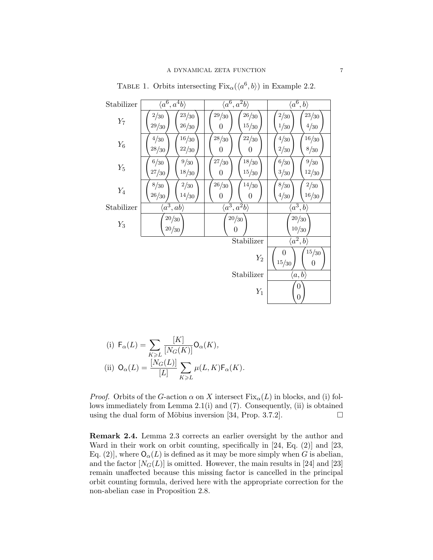| Stabilizer                                                    | $\langle a^6, a^4b\rangle$                      | $\langle a^6, a^2b \rangle$                | $\langle a^6, b \rangle$          |  |
|---------------------------------------------------------------|-------------------------------------------------|--------------------------------------------|-----------------------------------|--|
| $Y_7$                                                         | 2/30<br>$23/\!30$<br>29/30<br>26/30             | 29/30<br>26/30<br>15/30<br>0               | 2/30<br>23/30<br>4/30<br>1/30     |  |
| $Y_6$                                                         | 16/30<br>4/30<br>28/30<br>22/30                 | 28/30<br>22/30<br>0<br>$\boldsymbol{0}$    | 16/30<br>4/30<br>$2/\!30$<br>8/30 |  |
| $Y_5$                                                         | $6/\!30$<br>$9\slash\space30$<br>18/30<br>27/30 | $27\big/ \!\! 30$<br>18/30<br>$15/30$<br>0 | 6/30<br>9/30<br>3/30<br>12/30     |  |
| $Y_4$                                                         | $2/\!30$<br>$8/\!30$<br>26/30<br>14/30          | $26/30$<br>14/30<br>$\boldsymbol{0}$<br>0  | $8/\!30$<br>2/30<br>16/30<br>4/30 |  |
| Stabilizer                                                    | $\langle a^3, ab \rangle$                       | $\langle a^3, a^2b\rangle$                 | $\langle a^3,b\rangle$            |  |
| $Y_3$                                                         | 20/30<br>20/30                                  | $20/\!30$<br>$\theta$                      | 20/30<br>10/30                    |  |
|                                                               | Stabilizer                                      |                                            | $\langle a^2, b \rangle$          |  |
| 15/30<br>0<br>$\scriptstyle Y_2$<br>15/30<br>$\boldsymbol{0}$ |                                                 |                                            |                                   |  |
|                                                               | Stabilizer<br>$\langle a,b\rangle$              |                                            |                                   |  |
| 0<br>$Y_1$<br>$\boldsymbol{0}$                                |                                                 |                                            |                                   |  |

TABLE 1. Orbits intersecting  $Fix_{\alpha}(\langle a^6, b \rangle)$  in Example 2.2.

(i) 
$$
F_{\alpha}(L) = \sum_{K \ge L} \frac{[K]}{[N_G(K)]} O_{\alpha}(K),
$$
  
(ii) 
$$
O_{\alpha}(L) = \frac{[N_G(L)]}{[L]} \sum_{K \ge L} \mu(L, K) F_{\alpha}(K).
$$

*Proof.* Orbits of the G-action  $\alpha$  on X intersect  $Fix_{\alpha}(L)$  in blocks, and (i) follows immediately from Lemma 2.1(i) and (7). Consequently, (ii) is obtained using the dual form of Möbius inversion [34, Prop. 3.7.2].  $\Box$ 

Remark 2.4. Lemma 2.3 corrects an earlier oversight by the author and Ward in their work on orbit counting, specifically in [24, Eq. (2)] and [23, Eq. (2)], where  $O_{\alpha}(L)$  is defined as it may be more simply when G is abelian, and the factor  $[N_G(L)]$  is omitted. However, the main results in [24] and [23] remain unaffected because this missing factor is cancelled in the principal orbit counting formula, derived here with the appropriate correction for the non-abelian case in Proposition 2.8.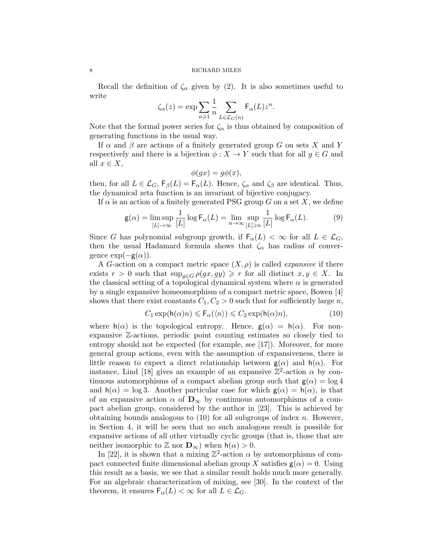Recall the definition of  $\zeta_{\alpha}$  given by (2). It is also sometimes useful to write

$$
\zeta_{\alpha}(z) = \exp \sum_{n \geq 1} \frac{1}{n} \sum_{L \in \mathcal{L}_G(n)} \mathsf{F}_{\alpha}(L) z^n.
$$

Note that the formal power series for  $\zeta_{\alpha}$  is thus obtained by composition of generating functions in the usual way.

If  $\alpha$  and  $\beta$  are actions of a finitely generated group G on sets X and Y respectively and there is a bijection  $\phi: X \to Y$  such that for all  $g \in G$  and all  $x \in X$ ,

$$
\phi(gx) = g\phi(x),
$$

then, for all  $L \in \mathcal{L}_G$ ,  $\mathsf{F}_{\beta}(L) = \mathsf{F}_{\alpha}(L)$ . Hence,  $\zeta_{\alpha}$  and  $\zeta_{\beta}$  are identical. Thus, the dynamical zeta function is an invariant of bijective conjugacy.

If  $\alpha$  is an action of a finitely generated PSG group G on a set X, we define

$$
\mathsf{g}(\alpha) = \limsup_{[L] \to \infty} \frac{1}{[L]} \log \mathsf{F}_{\alpha}(L) = \lim_{n \to \infty} \sup_{[L] \ge n} \frac{1}{[L]} \log \mathsf{F}_{\alpha}(L). \tag{9}
$$

Since G has polynomial subgroup growth, if  $F_{\alpha}(L) < \infty$  for all  $L \in \mathcal{L}_G$ , then the usual Hadamard formula shows that  $\zeta_{\alpha}$  has radius of convergence  $\exp(-g(\alpha))$ .

A G-action on a compact metric space  $(X, \rho)$  is called *expansive* if there exists  $r > 0$  such that  $\sup_{q \in G} \rho(gx, gy) \geq r$  for all distinct  $x, y \in X$ . In the classical setting of a topological dynamical system where  $\alpha$  is generated by a single expansive homeomorphism of a compact metric space, Bowen [4] shows that there exist constants  $C_1, C_2 > 0$  such that for sufficiently large n,

$$
C_1 \exp(\mathsf{h}(\alpha)n) \leq \mathsf{F}_{\alpha}(\langle n \rangle) \leq C_2 \exp(\mathsf{h}(\alpha)n),\tag{10}
$$

where  $h(\alpha)$  is the topological entropy. Hence,  $g(\alpha) = h(\alpha)$ . For nonexpansive Z-actions, periodic point counting estimates so closely tied to entropy should not be expected (for example, see [17]). Moreover, for more general group actions, even with the assumption of expansiveness, there is little reason to expect a direct relationship between  $g(\alpha)$  and  $h(\alpha)$ . For instance, Lind [18] gives an example of an expansive  $\mathbb{Z}^2$ -action  $\alpha$  by continuous automorphisms of a compact abelian group such that  $g(\alpha) = \log 4$ and  $h(\alpha) = \log 3$ . Another particular case for which  $g(\alpha) = h(\alpha)$ , is that of an expansive action  $\alpha$  of  $\mathbf{D}_{\infty}$  by continuous automorphisms of a compact abelian group, considered by the author in [23]. This is achieved by obtaining bounds analogous to  $(10)$  for all subgroups of index n. However, in Section 4, it will be seen that no such analogous result is possible for expansive actions of all other virtually cyclic groups (that is, those that are neither isomorphic to  $\mathbb{Z}$  nor  $\mathbf{D}_{\infty}$ ) when  $h(\alpha) > 0$ .

In [22], it is shown that a mixing  $\mathbb{Z}^2$ -action  $\alpha$  by automorphisms of compact connected finite dimensional abelian group X satisfies  $g(\alpha) = 0$ . Using this result as a basis, we see that a similar result holds much more generally. For an algebraic characterization of mixing, see [30]. In the context of the theorem, it ensures  $\mathsf{F}_{\alpha}(L) < \infty$  for all  $L \in \mathcal{L}_G$ .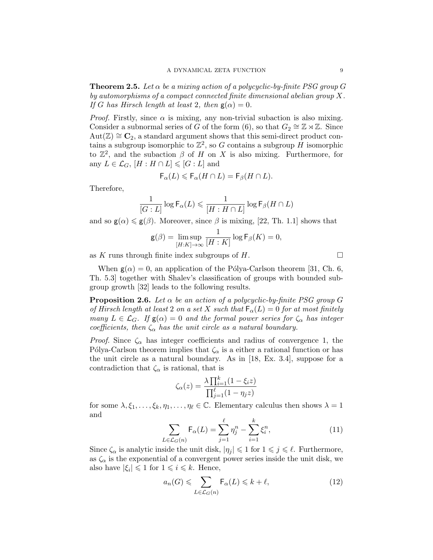**Theorem 2.5.** Let  $\alpha$  be a mixing action of a polycyclic-by-finite PSG group G by automorphisms of a compact connected finite dimensional abelian group X. If G has Hirsch length at least 2, then  $g(\alpha) = 0$ .

*Proof.* Firstly, since  $\alpha$  is mixing, any non-trivial subaction is also mixing. Consider a subnormal series of G of the form (6), so that  $G_2 \cong \mathbb{Z} \rtimes \mathbb{Z}$ . Since  $Aut(\mathbb{Z}) \cong \mathbb{C}_2$ , a standard argument shows that this semi-direct product contains a subgroup isomorphic to  $\mathbb{Z}^2$ , so G contains a subgroup H isomorphic to  $\mathbb{Z}^2$ , and the subaction  $\beta$  of H on X is also mixing. Furthermore, for any  $L \in \mathcal{L}_G$ ,  $[H : H \cap L] \leqslant [G : L]$  and

$$
\mathsf{F}_{\alpha}(L) \leqslant \mathsf{F}_{\alpha}(H \cap L) = \mathsf{F}_{\beta}(H \cap L).
$$

Therefore,

$$
\frac{1}{[G:L]} \log \mathsf{F}_\alpha(L) \leqslant \frac{1}{[H:H\cap L]} \log \mathsf{F}_\beta(H\cap L)
$$

and so  $\mathbf{g}(\alpha) \leq \mathbf{g}(\beta)$ . Moreover, since  $\beta$  is mixing, [22, Th. 1.1] shows that

$$
\mathsf{g}(\beta) = \limsup_{[H:K] \to \infty} \frac{1}{[H:K]} \log \mathsf{F}_{\beta}(K) = 0,
$$

as K runs through finite index subgroups of H.

When  $g(\alpha) = 0$ , an application of the Pólya-Carlson theorem [31, Ch. 6, Th. 5.3] together with Shalev's classification of groups with bounded subgroup growth [32] leads to the following results.

**Proposition 2.6.** Let  $\alpha$  be an action of a polycyclic-by-finite PSG group G of Hirsch length at least 2 on a set X such that  $\mathsf{F}_{\alpha}(L) = 0$  for at most finitely many  $L \in \mathcal{L}_G$ . If  $\mathsf{g}(\alpha) = 0$  and the formal power series for  $\zeta_\alpha$  has integer coefficients, then  $\zeta_{\alpha}$  has the unit circle as a natural boundary.

*Proof.* Since  $\zeta_{\alpha}$  has integer coefficients and radius of convergence 1, the Pólya-Carlson theorem implies that  $\zeta_{\alpha}$  is a either a rational function or has the unit circle as a natural boundary. As in [18, Ex. 3.4], suppose for a contradiction that  $\zeta_{\alpha}$  is rational, that is

$$
\zeta_{\alpha}(z) = \frac{\lambda \prod_{i=1}^{k} (1 - \xi_i z)}{\prod_{j=1}^{\ell} (1 - \eta_j z)}
$$

for some  $\lambda, \xi_1, \ldots, \xi_k, \eta_1, \ldots, \eta_\ell \in \mathbb{C}$ . Elementary calculus then shows  $\lambda = 1$ and

$$
\sum_{L \in \mathcal{L}_G(n)} \mathsf{F}_{\alpha}(L) = \sum_{j=1}^{\ell} \eta_j^n - \sum_{i=1}^k \xi_i^n, \tag{11}
$$

Since  $\zeta_{\alpha}$  is analytic inside the unit disk,  $|\eta_j| \leq 1$  for  $1 \leq j \leq \ell$ . Furthermore, as  $\zeta_{\alpha}$  is the exponential of a convergent power series inside the unit disk, we also have  $|\xi_i| \leq 1$  for  $1 \leq i \leq k$ . Hence,

$$
a_n(G) \leqslant \sum_{L \in \mathcal{L}_G(n)} \mathsf{F}_\alpha(L) \leqslant k + \ell,\tag{12}
$$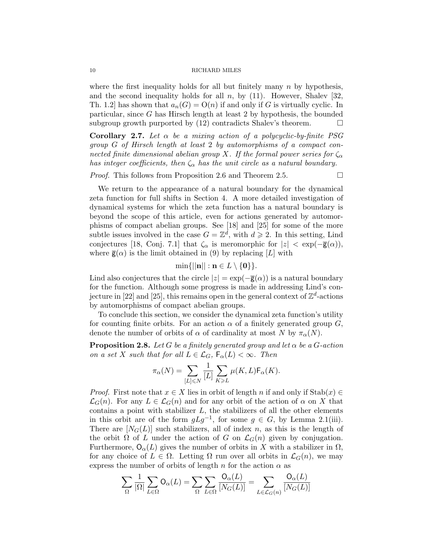where the first inequality holds for all but finitely many  $n$  by hypothesis, and the second inequality holds for all  $n$ , by (11). However, Shalev [32, Th. 1.2 has shown that  $a_n(G) = O(n)$  if and only if G is virtually cyclic. In particular, since G has Hirsch length at least 2 by hypothesis, the bounded subgroup growth purported by  $(12)$  contradicts Shalev's theorem.

Corollary 2.7. Let  $\alpha$  be a mixing action of a polycyclic-by-finite PSG group G of Hirsch length at least 2 by automorphisms of a compact connected finite dimensional abelian group X. If the formal power series for  $\zeta_{\alpha}$ has integer coefficients, then  $\zeta_{\alpha}$  has the unit circle as a natural boundary.

*Proof.* This follows from Proposition 2.6 and Theorem 2.5.  $\Box$ 

We return to the appearance of a natural boundary for the dynamical zeta function for full shifts in Section 4. A more detailed investigation of dynamical systems for which the zeta function has a natural boundary is beyond the scope of this article, even for actions generated by automorphisms of compact abelian groups. See [18] and [25] for some of the more subtle issues involved in the case  $G = \mathbb{Z}^d$ , with  $d \geq 2$ . In this setting, Lind conjectures [18, Conj. 7.1] that  $\zeta_{\alpha}$  is meromorphic for  $|z| < \exp(-\overline{\mathsf{g}}(\alpha)),$ where  $\bar{g}(\alpha)$  is the limit obtained in (9) by replacing [L] with

$$
\min\{||\mathbf{n}||: \mathbf{n} \in L \setminus \{\mathbf{0}\}\}.
$$

Lind also conjectures that the circle  $|z| = \exp(-\overline{\mathbf{g}}(\alpha))$  is a natural boundary for the function. Although some progress is made in addressing Lind's conjecture in [22] and [25], this remains open in the general context of  $\mathbb{Z}^d$ -actions by automorphisms of compact abelian groups.

To conclude this section, we consider the dynamical zeta function's utility for counting finite orbits. For an action  $\alpha$  of a finitely generated group  $G$ , denote the number of orbits of  $\alpha$  of cardinality at most N by  $\pi_{\alpha}(N)$ .

**Proposition 2.8.** Let G be a finitely generated group and let  $\alpha$  be a G-action on a set X such that for all  $L \in \mathcal{L}_G$ ,  $\mathsf{F}_{\alpha}(L) < \infty$ . Then

$$
\pi_{\alpha}(N) = \sum_{[L] \leq N} \frac{1}{[L]} \sum_{K \geq L} \mu(K, L) \mathsf{F}_{\alpha}(K).
$$

*Proof.* First note that  $x \in X$  lies in orbit of length n if and only if  $\text{Stab}(x) \in$  $\mathcal{L}_G(n)$ . For any  $L \in \mathcal{L}_G(n)$  and for any orbit of the action of  $\alpha$  on X that contains a point with stabilizer  $L$ , the stabilizers of all the other elements in this orbit are of the form  $gLg^{-1}$ , for some  $g \in G$ , by Lemma 2.1(iii). There are  $[N_G(L)]$  such stabilizers, all of index n, as this is the length of the orbit  $\Omega$  of L under the action of G on  $\mathcal{L}_G(n)$  given by conjugation. Furthermore,  $O_{\alpha}(L)$  gives the number of orbits in X with a stabilizer in  $\Omega$ , for any choice of  $L \in \Omega$ . Letting  $\Omega$  run over all orbits in  $\mathcal{L}_G(n)$ , we may express the number of orbits of length n for the action  $\alpha$  as

$$
\sum_{\Omega} \frac{1}{|\Omega|} \sum_{L \in \Omega} \mathsf{O}_{\alpha}(L) = \sum_{\Omega} \sum_{L \in \Omega} \frac{\mathsf{O}_{\alpha}(L)}{[N_G(L)]} = \sum_{L \in \mathcal{L}_G(n)} \frac{\mathsf{O}_{\alpha}(L)}{[N_G(L)]}
$$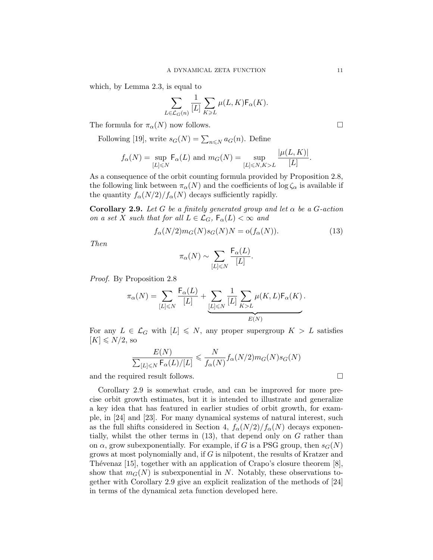which, by Lemma 2.3, is equal to

$$
\sum_{L \in \mathcal{L}_G(n)} \frac{1}{[L]} \sum_{K \geq L} \mu(L, K) \mathsf{F}_{\alpha}(K).
$$

The formula for  $\pi_{\alpha}(N)$  now follows.

Following [19], write  $s_G(N) = \sum_{n \le N} a_G(n)$ . Define

$$
f_{\alpha}(N) = \sup_{[L] \leq N} \mathsf{F}_{\alpha}(L) \text{ and } m_G(N) = \sup_{[L] \leq N, K > L} \frac{|\mu(L, K)|}{[L]}.
$$

As a consequence of the orbit counting formula provided by Proposition 2.8, the following link between  $\pi_{\alpha}(N)$  and the coefficients of log  $\zeta_{\alpha}$  is available if the quantity  $f_{\alpha}(N/2)/f_{\alpha}(N)$  decays sufficiently rapidly.

**Corollary 2.9.** Let G be a finitely generated group and let  $\alpha$  be a G-action on a set X such that for all  $L \in \mathcal{L}_G$ ,  $\mathsf{F}_{\alpha}(L) < \infty$  and

$$
f_{\alpha}(N/2)m_G(N)s_G(N)N = o(f_{\alpha}(N)).
$$
\n(13)

Then

$$
\pi_{\alpha}(N) \sim \sum_{[L] \leq N} \frac{\mathsf{F}_{\alpha}(L)}{[L]}.
$$

Proof. By Proposition 2.8

$$
\pi_{\alpha}(N) = \sum_{[L] \leq N} \frac{\mathsf{F}_{\alpha}(L)}{[L]} + \underbrace{\sum_{[L] \leq N} \frac{1}{[L]} \sum_{K > L} \mu(K, L) \mathsf{F}_{\alpha}(K)}_{E(N)}.
$$

For any  $L \in \mathcal{L}_G$  with  $[L] \leq N$ , any proper supergroup  $K > L$  satisfies  $[K] \leq N/2$ , so

$$
\frac{E(N)}{\sum_{[L]\leq N} \mathsf{F}_{\alpha}(L)/[L]} \leq \frac{N}{f_{\alpha}(N)} f_{\alpha}(N/2) m_G(N) s_G(N)
$$

and the required result follows.

Corollary 2.9 is somewhat crude, and can be improved for more precise orbit growth estimates, but it is intended to illustrate and generalize a key idea that has featured in earlier studies of orbit growth, for example, in [24] and [23]. For many dynamical systems of natural interest, such as the full shifts considered in Section 4,  $f_{\alpha}(N/2)/f_{\alpha}(N)$  decays exponentially, whilst the other terms in (13), that depend only on G rather than on  $\alpha$ , grow subexponentially. For example, if G is a PSG group, then  $s_G(N)$ grows at most polynomially and, if G is nilpotent, the results of Kratzer and Thévenaz  $[15]$ , together with an application of Crapo's closure theorem  $[8]$ , show that  $m_G(N)$  is subexponential in N. Notably, these observations together with Corollary 2.9 give an explicit realization of the methods of [24] in terms of the dynamical zeta function developed here.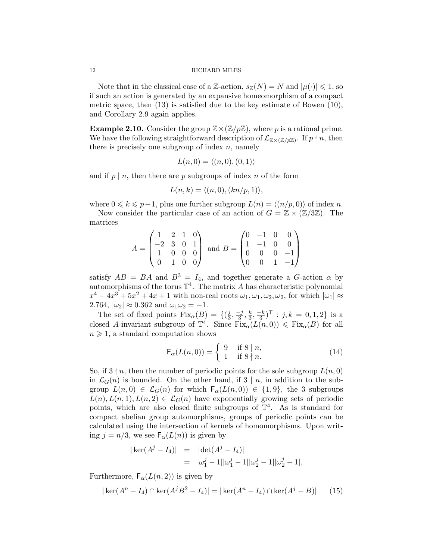Note that in the classical case of a Z-action,  $s_{\mathbb{Z}}(N) = N$  and  $|\mu(\cdot)| \leq 1$ , so if such an action is generated by an expansive homeomorphism of a compact metric space, then (13) is satisfied due to the key estimate of Bowen (10), and Corollary 2.9 again applies.

**Example 2.10.** Consider the group  $\mathbb{Z}\times(\mathbb{Z}/p\mathbb{Z})$ , where p is a rational prime. We have the following straightforward description of  $\mathcal{L}_{\mathbb{Z}\times(\mathbb{Z}/p\mathbb{Z})}$ . If  $p \nmid n$ , then there is precisely one subgroup of index  $n$ , namely

$$
L(n,0) = \langle (n,0), (0,1) \rangle
$$

and if  $p \mid n$ , then there are p subgroups of index n of the form

$$
L(n,k) = \langle (n,0), (kn/p,1) \rangle,
$$

where  $0 \leq k \leq p-1$ , plus one further subgroup  $L(n) = \langle (n/p, 0) \rangle$  of index n.

Now consider the particular case of an action of  $G = \mathbb{Z} \times (\mathbb{Z}/3\mathbb{Z})$ . The matrices

$$
A = \begin{pmatrix} 1 & 2 & 1 & 0 \\ -2 & 3 & 0 & 1 \\ 1 & 0 & 0 & 0 \\ 0 & 1 & 0 & 0 \end{pmatrix} \text{ and } B = \begin{pmatrix} 0 & -1 & 0 & 0 \\ 1 & -1 & 0 & 0 \\ 0 & 0 & 0 & -1 \\ 0 & 0 & 1 & -1 \end{pmatrix}
$$

satisfy  $AB = BA$  and  $B^3 = I_4$ , and together generate a G-action  $\alpha$  by automorphisms of the torus  $\mathbb{T}^4$ . The matrix A has characteristic polynomial  $x^4 - 4x^3 + 5x^2 + 4x + 1$  with non-real roots  $\omega_1, \overline{\omega}_1, \omega_2, \overline{\omega}_2$ , for which  $|\omega_1| \approx$ 2.764,  $|\omega_2| \approx 0.362$  and  $\omega_1 \omega_2 = -1$ .

The set of fixed points  $Fix_{\alpha}(B) = \{(\frac{j}{3})\}$  $\frac{j}{3}, \frac{-j}{3}$  $\frac{-j}{3},\frac{k}{3}$  $\frac{k}{3}, \frac{-k}{3}$  $(\frac{-k}{3})^{\mathsf{T}}$  :  $j, k = 0, 1, 2$  is a closed A-invariant subgroup of  $\mathbb{T}^4$ . Since  $\text{Fix}_{\alpha}(L(n,0)) \leq \text{Fix}_{\alpha}(B)$  for all  $n \geq 1$ , a standard computation shows

$$
\mathsf{F}_{\alpha}(L(n,0)) = \left\{ \begin{array}{ll} 9 & \text{if } 8 \mid n, \\ 1 & \text{if } 8 \nmid n. \end{array} \right. \tag{14}
$$

So, if  $3 \nmid n$ , then the number of periodic points for the sole subgroup  $L(n, 0)$ in  $\mathcal{L}_G(n)$  is bounded. On the other hand, if  $3 \mid n$ , in addition to the subgroup  $L(n, 0) \in \mathcal{L}_G(n)$  for which  $F_\alpha(L(n, 0)) \in \{1, 9\}$ , the 3 subgroups  $L(n), L(n, 1), L(n, 2) \in \mathcal{L}_G(n)$  have exponentially growing sets of periodic points, which are also closed finite subgroups of  $\mathbb{T}^4$ . As is standard for compact abelian group automorphisms, groups of periodic points can be calculated using the intersection of kernels of homomorphisms. Upon writing  $j = n/3$ , we see  $F_{\alpha}(L(n))$  is given by

$$
|\ker(A^{j} - I_4)| = |\det(A^{j} - I_4)|
$$
  
=  $|\omega_1^{j} - 1||\overline{\omega}_1^{j} - 1||\omega_2^{j} - 1||\overline{\omega}_2^{j} - 1|.$ 

Furthermore,  $F_{\alpha}(L(n, 2))$  is given by

$$
|\ker(A^n - I_4) \cap \ker(A^j B^2 - I_4)| = |\ker(A^n - I_4) \cap \ker(A^j - B)| \qquad (15)
$$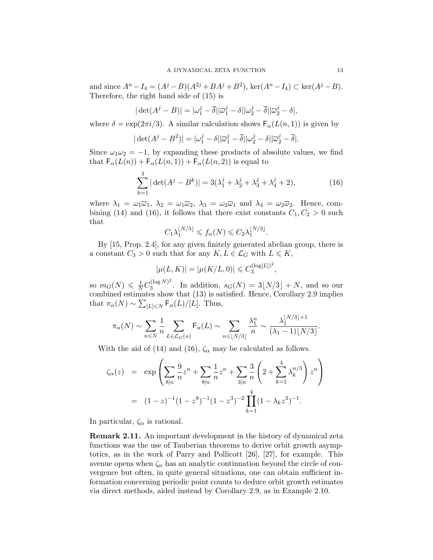and since  $A^{n} - I_4 = (A^{j} - B)(A^{2j} + BA^{j} + B^{2}), \text{ ker}(A^{n} - I_4) \subset \text{ker}(A^{j} - B).$ Therefore, the right hand side of (15) is

$$
|\det(A^j - B)| = |\omega_1^j - \overline{\delta}||\overline{\omega}_1^j - \delta||\omega_2^j - \overline{\delta}||\overline{\omega}_2^j - \delta|,
$$

where  $\delta = \exp(2\pi i/3)$ . A similar calculation shows  $F_{\alpha}(L(n, 1))$  is given by

$$
|\det(A^j - B^2)| = |\omega_1^j - \delta||\overline{\omega}_1^j - \overline{\delta}||\omega_2^j - \delta||\overline{\omega}_2^j - \overline{\delta}|.
$$

Since  $\omega_1\omega_2 = -1$ , by expanding these products of absolute values, we find that  $F_{\alpha}(L(n)) + F_{\alpha}(L(n, 1)) + F_{\alpha}(L(n, 2))$  is equal to

$$
\sum_{k=1}^{3} |\det(A^{j} - B^{k})| = 3(\lambda_{1}^{j} + \lambda_{2}^{j} + \lambda_{3}^{j} + \lambda_{4}^{j} + 2),
$$
 (16)

.

where  $\lambda_1 = \omega_1 \overline{\omega}_1$ ,  $\lambda_2 = \omega_1 \overline{\omega}_2$ ,  $\lambda_3 = \omega_2 \overline{\omega}_1$  and  $\lambda_4 = \omega_2 \overline{\omega}_2$ . Hence, combining (14) and (16), it follows that there exist constants  $C_1, C_2 > 0$  such that

$$
C_1 \lambda_1^{\lfloor N/3 \rfloor} \leq f_\alpha(N) \leq C_2 \lambda_1^{\lfloor N/3 \rfloor}
$$

By [15, Prop. 2.4], for any given finitely generated abelian group, there is a constant  $C_3 > 0$  such that for any  $K, L \in \mathcal{L}_G$  with  $L \leqslant K$ ,

$$
|\mu(L, K)| = |\mu(K/L, 0)| \leq C_3^{(\log[L])^2},
$$

so  $m_G(N) \leqslant \frac{1}{N} C_3^{(\log N)^2}$  $3^{(\log N)^2}$ . In addition,  $s_G(N) = 3\lfloor N/3 \rfloor + N$ , and so our combined estimates show that (13) is satisfied. Hence, Corollary 2.9 implies that  $\pi_{\alpha}(N) \sim \sum_{[L] \le N} \mathsf{F}_{\alpha}(L)/[L]$ . Thus,

$$
\pi_{\alpha}(N) \sim \sum_{n \leq N} \frac{1}{n} \sum_{L \in \mathcal{L}_G(n)} \mathsf{F}_{\alpha}(L) \sim \sum_{n \leqslant \lfloor N/3 \rfloor} \frac{\lambda_1^n}{n} \sim \frac{\lambda_1^{\lfloor N/3 \rfloor + 1}}{(\lambda_1 - 1) \lfloor N/3 \rfloor}.
$$

With the aid of (14) and (16),  $\zeta_{\alpha}$  may be calculated as follows.

$$
\zeta_{\alpha}(z) = \exp\left(\sum_{8|n} \frac{9}{n} z^n + \sum_{8|n} \frac{1}{n} z^n + \sum_{3|n} \frac{3}{n} \left(2 + \sum_{k=1}^4 \lambda_k^{n/3}\right) z^n\right)
$$

$$
= (1-z)^{-1} (1-z^8)^{-1} (1-z^3)^{-2} \prod_{k=1}^4 (1-\lambda_k z^3)^{-1}.
$$

In particular,  $\zeta_{\alpha}$  is rational.

Remark 2.11. An important development in the history of dynamical zeta functions was the use of Tauberian theorems to derive orbit growth asymptotics, as in the work of Parry and Pollicott [26], [27], for example. This avenue opens when  $\zeta_{\alpha}$  has an analytic continuation beyond the circle of convergence but often, in quite general situations, one can obtain sufficient information concerning periodic point counts to deduce orbit growth estimates via direct methods, aided instead by Corollary 2.9, as in Example 2.10.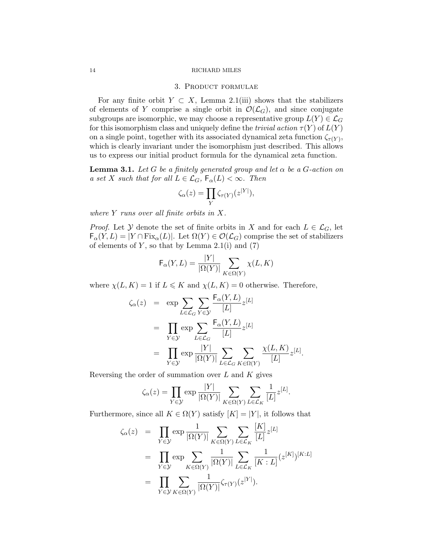# 3. Product formulae

For any finite orbit  $Y \subset X$ , Lemma 2.1(iii) shows that the stabilizers of elements of Y comprise a single orbit in  $\mathcal{O}(\mathcal{L}_G)$ , and since conjugate subgroups are isomorphic, we may choose a representative group  $L(Y) \in \mathcal{L}_G$ for this isomorphism class and uniquely define the *trivial action*  $\tau(Y)$  of  $L(Y)$ on a single point, together with its associated dynamical zeta function  $\zeta_{\tau(Y)}$ , which is clearly invariant under the isomorphism just described. This allows us to express our initial product formula for the dynamical zeta function.

**Lemma 3.1.** Let G be a finitely generated group and let  $\alpha$  be a G-action on a set X such that for all  $L \in \mathcal{L}_G$ ,  $\mathsf{F}_{\alpha}(L) < \infty$ . Then

$$
\zeta_{\alpha}(z) = \prod_{Y} \zeta_{\tau(Y)}(z^{|Y|}),
$$

where  $Y$  runs over all finite orbits in  $X$ .

*Proof.* Let  $Y$  denote the set of finite orbits in X and for each  $L \in \mathcal{L}_G$ , let  $F_{\alpha}(Y, L) = |Y \cap Fix_{\alpha}(L)|$ . Let  $\Omega(Y) \in \mathcal{O}(\mathcal{L}_G)$  comprise the set of stabilizers of elements of  $Y$ , so that by Lemma 2.1(i) and  $(7)$ 

$$
\mathsf{F}_{\alpha}(Y, L) = \frac{|Y|}{|\Omega(Y)|} \sum_{K \in \Omega(Y)} \chi(L, K)
$$

where  $\chi(L, K) = 1$  if  $L \leq K$  and  $\chi(L, K) = 0$  otherwise. Therefore,

$$
\zeta_{\alpha}(z) = \exp \sum_{L \in \mathcal{L}_G} \sum_{Y \in \mathcal{Y}} \frac{F_{\alpha}(Y, L)}{[L]} z^{[L]}
$$
  
\n
$$
= \prod_{Y \in \mathcal{Y}} \exp \sum_{L \in \mathcal{L}_G} \frac{F_{\alpha}(Y, L)}{[L]} z^{[L]}
$$
  
\n
$$
= \prod_{Y \in \mathcal{Y}} \exp \frac{|Y|}{|\Omega(Y)|} \sum_{L \in \mathcal{L}_G} \sum_{K \in \Omega(Y)} \frac{\chi(L, K)}{[L]} z^{[L]}.
$$

Reversing the order of summation over  $L$  and  $K$  gives

$$
\zeta_{\alpha}(z) = \prod_{Y \in \mathcal{Y}} \exp \frac{|Y|}{|\Omega(Y)|} \sum_{K \in \Omega(Y)} \sum_{L \in \mathcal{L}_K} \frac{1}{[L]} z^{[L]}.
$$

Furthermore, since all  $K \in \Omega(Y)$  satisfy  $[K] = |Y|$ , it follows that

$$
\zeta_{\alpha}(z) = \prod_{Y \in \mathcal{Y}} \exp \frac{1}{|\Omega(Y)|} \sum_{K \in \Omega(Y)} \sum_{L \in \mathcal{L}_K} \frac{[K]}{[L]} z^{[L]}
$$
  
\n
$$
= \prod_{Y \in \mathcal{Y}} \exp \sum_{K \in \Omega(Y)} \frac{1}{|\Omega(Y)|} \sum_{L \in \mathcal{L}_K} \frac{1}{[K:L]} (z^{[K]})^{[K:L]}
$$
  
\n
$$
= \prod_{Y \in \mathcal{Y}} \sum_{K \in \Omega(Y)} \frac{1}{|\Omega(Y)|} \zeta_{\tau(Y)} (z^{[Y]}).
$$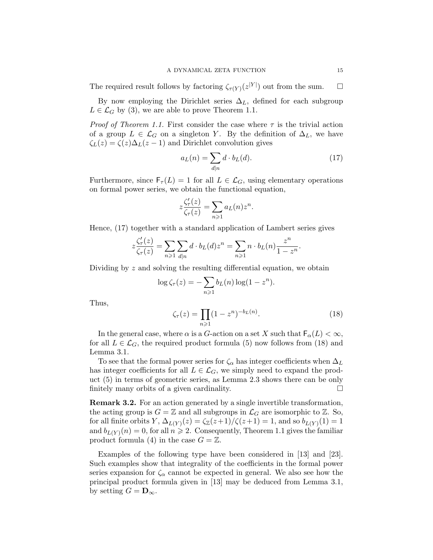The required result follows by factoring  $\zeta_{\tau(Y)}(z^{|Y|})$  out from the sum.  $\Box$ 

By now employing the Dirichlet series  $\Delta_L$ , defined for each subgroup  $L \in \mathcal{L}_G$  by (3), we are able to prove Theorem 1.1.

*Proof of Theorem 1.1.* First consider the case where  $\tau$  is the trivial action of a group  $L \in \mathcal{L}_G$  on a singleton Y. By the definition of  $\Delta_L$ , we have  $\zeta_L(z) = \zeta(z)\Delta_L(z-1)$  and Dirichlet convolution gives

$$
a_L(n) = \sum_{d|n} d \cdot b_L(d). \tag{17}
$$

Furthermore, since  $F_\tau(L) = 1$  for all  $L \in \mathcal{L}_G$ , using elementary operations on formal power series, we obtain the functional equation,

$$
z\frac{\zeta_{\tau}'(z)}{\zeta_{\tau}(z)} = \sum_{n\geqslant 1} a_L(n) z^n.
$$

Hence, (17) together with a standard application of Lambert series gives

$$
z\frac{\zeta_{\tau}'(z)}{\zeta_{\tau}(z)}=\sum_{n\geqslant 1}\sum_{d|n}d\cdot b_L(d)z^n=\sum_{n\geqslant 1}n\cdot b_L(n)\frac{z^n}{1-z^n}.
$$

Dividing by z and solving the resulting differential equation, we obtain

$$
\log \zeta_{\tau}(z) = -\sum_{n\geqslant 1} b_L(n) \log(1-z^n).
$$

Thus,

$$
\zeta_{\tau}(z) = \prod_{n \geq 1} (1 - z^n)^{-b_L(n)}.
$$
\n(18)

In the general case, where  $\alpha$  is a G-action on a set X such that  $\mathsf{F}_{\alpha}(L) < \infty$ , for all  $L \in \mathcal{L}_G$ , the required product formula (5) now follows from (18) and Lemma 3.1.

To see that the formal power series for  $\zeta_{\alpha}$  has integer coefficients when  $\Delta_L$ has integer coefficients for all  $L \in \mathcal{L}_G$ , we simply need to expand the product (5) in terms of geometric series, as Lemma 2.3 shows there can be only finitely many orbits of a given cardinality.  $\Box$ 

Remark 3.2. For an action generated by a single invertible transformation, the acting group is  $G = \mathbb{Z}$  and all subgroups in  $\mathcal{L}_G$  are isomorphic to  $\mathbb{Z}$ . So, for all finite orbits  $Y, \Delta_{L(Y)}(z) = \frac{\zeta_{\mathbb{Z}}(z+1)}{\zeta(z+1)} = 1$ , and so  $b_{L(Y)}(1) = 1$ and  $b_{L(Y)}(n) = 0$ , for all  $n \geqslant 2$ . Consequently, Theorem 1.1 gives the familiar product formula (4) in the case  $G = \mathbb{Z}$ .

Examples of the following type have been considered in [13] and [23]. Such examples show that integrality of the coefficients in the formal power series expansion for  $\zeta_{\alpha}$  cannot be expected in general. We also see how the principal product formula given in [13] may be deduced from Lemma 3.1, by setting  $G = \mathbf{D}_{\infty}$ .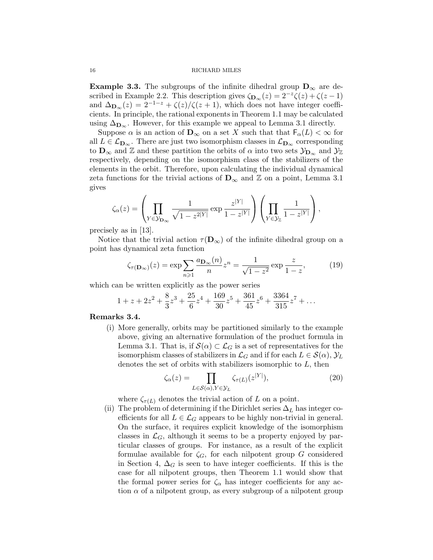**Example 3.3.** The subgroups of the infinite dihedral group  $D_{\infty}$  are described in Example 2.2. This description gives  $\zeta_{\mathbf{D}_{\infty}}(z) = 2^{-z}\zeta(z) + \zeta(z-1)$ and  $\Delta_{\mathbf{D}_{\infty}}(z) = 2^{-1-z} + \zeta(z)/\zeta(z+1)$ , which does not have integer coefficients. In principle, the rational exponents in Theorem 1.1 may be calculated using  $\Delta_{\mathbf{D}_{\infty}}$ . However, for this example we appeal to Lemma 3.1 directly.

Suppose  $\alpha$  is an action of  $\mathbf{D}_{\infty}$  on a set X such that that  $\mathsf{F}_{\alpha}(L) < \infty$  for all  $L \in \mathcal{L}_{\mathbf{D}_{\infty}}$ . There are just two isomorphism classes in  $\mathcal{L}_{\mathbf{D}_{\infty}}$  corresponding to  $\mathbf{D}_{\infty}$  and  $\mathbb{Z}$  and these partition the orbits of  $\alpha$  into two sets  $\mathcal{Y}_{\mathbf{D}_{\infty}}$  and  $\mathcal{Y}_{\mathbb{Z}}$ respectively, depending on the isomorphism class of the stabilizers of the elements in the orbit. Therefore, upon calculating the individual dynamical zeta functions for the trivial actions of  $\mathbf{D}_{\infty}$  and  $\mathbb{Z}$  on a point, Lemma 3.1 gives

$$
\zeta_{\alpha}(z) = \left(\prod_{Y \in \mathcal{Y}_{\mathbf{D}_{\infty}}} \frac{1}{\sqrt{1-z^{2|Y|}}}\exp \frac{z^{|Y|}}{1-z^{|Y|}}\right)\left(\prod_{Y \in \mathcal{Y}_{\mathbb{Z}}} \frac{1}{1-z^{|Y|}}\right),\,
$$

precisely as in [13].

Notice that the trivial action  $\tau(\mathbf{D}_{\infty})$  of the infinite dihedral group on a point has dynamical zeta function

$$
\zeta_{\tau(\mathbf{D}_{\infty})}(z) = \exp\sum_{n\geqslant 1} \frac{a_{\mathbf{D}_{\infty}}(n)}{n} z^n = \frac{1}{\sqrt{1-z^2}} \exp\frac{z}{1-z},\tag{19}
$$

which can be written explicitly as the power series

$$
1 + z + 2z2 + \frac{8}{3}z3 + \frac{25}{6}z4 + \frac{169}{30}z5 + \frac{361}{45}z6 + \frac{3364}{315}z7 + \dots
$$

# Remarks 3.4.

(i) More generally, orbits may be partitioned similarly to the example above, giving an alternative formulation of the product formula in Lemma 3.1. That is, if  $S(\alpha) \subset \mathcal{L}_G$  is a set of representatives for the isomorphism classes of stabilizers in  $\mathcal{L}_G$  and if for each  $L \in \mathcal{S}(\alpha)$ ,  $\mathcal{Y}_L$ denotes the set of orbits with stabilizers isomorphic to  $L$ , then

$$
\zeta_{\alpha}(z) = \prod_{L \in \mathcal{S}(\alpha), Y \in \mathcal{Y}_L} \zeta_{\tau(L)}(z^{|Y|}),\tag{20}
$$

where  $\zeta_{\tau(L)}$  denotes the trivial action of L on a point.

(ii) The problem of determining if the Dirichlet series  $\Delta_L$  has integer coefficients for all  $L \in \mathcal{L}_G$  appears to be highly non-trivial in general. On the surface, it requires explicit knowledge of the isomorphism classes in  $\mathcal{L}_G$ , although it seems to be a property enjoyed by particular classes of groups. For instance, as a result of the explicit formulae available for  $\zeta_G$ , for each nilpotent group G considered in Section 4,  $\Delta_G$  is seen to have integer coefficients. If this is the case for all nilpotent groups, then Theorem 1.1 would show that the formal power series for  $\zeta_{\alpha}$  has integer coefficients for any action  $\alpha$  of a nilpotent group, as every subgroup of a nilpotent group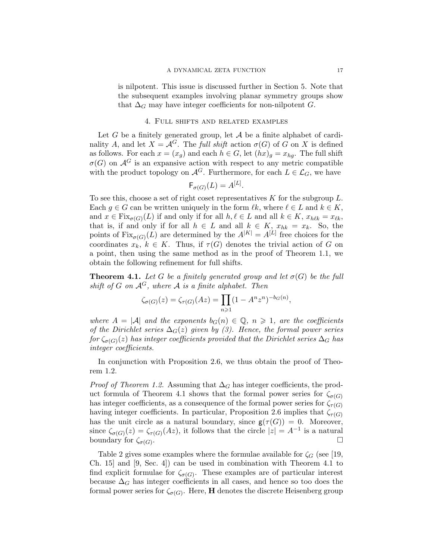is nilpotent. This issue is discussed further in Section 5. Note that the subsequent examples involving planar symmetry groups show that  $\Delta_G$  may have integer coefficients for non-nilpotent G.

# 4. Full shifts and related examples

Let G be a finitely generated group, let  $A$  be a finite alphabet of cardinality A, and let  $X = \mathcal{A}^G$ . The full shift action  $\sigma(G)$  of G on X is defined as follows. For each  $x = (x_q)$  and each  $h \in G$ , let  $(hx)_q = x_{hq}$ . The full shift  $\sigma(G)$  on  $\mathcal{A}^G$  is an expansive action with respect to any metric compatible with the product topology on  $\mathcal{A}^G$ . Furthermore, for each  $L \in \mathcal{L}_G$ , we have

$$
\mathsf{F}_{\sigma(G)}(L) = A^{[L]}.
$$

To see this, choose a set of right coset representatives  $K$  for the subgroup  $L$ . Each  $g \in G$  can be written uniquely in the form  $\ell k$ , where  $\ell \in L$  and  $k \in K$ , and  $x \in \text{Fix}_{\sigma(G)}(L)$  if and only if for all  $h, \ell \in L$  and all  $k \in K$ ,  $x_{h\ell k} = x_{\ell k}$ , that is, if and only if for all  $h \in L$  and all  $k \in K$ ,  $x_{hk} = x_k$ . So, the points of  $\operatorname{Fix}_{\sigma(G)}(L)$  are determined by the  $A^{|K|} = A^{[L]}$  free choices for the coordinates  $x_k, k \in K$ . Thus, if  $\tau(G)$  denotes the trivial action of G on a point, then using the same method as in the proof of Theorem 1.1, we obtain the following refinement for full shifts.

**Theorem 4.1.** Let G be a finitely generated group and let  $\sigma(G)$  be the full shift of G on  $\mathcal{A}^G$ , where A is a finite alphabet. Then

$$
\zeta_{\sigma(G)}(z) = \zeta_{\tau(G)}(Az) = \prod_{n \geq 1} (1 - A^n z^n)^{-b_G(n)},
$$

where  $A = |\mathcal{A}|$  and the exponents  $b_G(n) \in \mathbb{Q}$ ,  $n \geq 1$ , are the coefficients of the Dirichlet series  $\Delta_G(z)$  given by (3). Hence, the formal power series for  $\zeta_{\sigma(G)}(z)$  has integer coefficients provided that the Dirichlet series  $\Delta_G$  has integer coefficients.

In conjunction with Proposition 2.6, we thus obtain the proof of Theorem 1.2.

*Proof of Theorem 1.2.* Assuming that  $\Delta_G$  has integer coefficients, the product formula of Theorem 4.1 shows that the formal power series for  $\zeta_{\sigma(G)}$ has integer coefficients, as a consequence of the formal power series for  $\zeta_{\tau(G)}$ having integer coefficients. In particular, Proposition 2.6 implies that  $\zeta_{\tau(G)}$ has the unit circle as a natural boundary, since  $g(\tau(G)) = 0$ . Moreover, since  $\zeta_{\sigma(G)}(z) = \zeta_{\tau(G)}(Az)$ , it follows that the circle  $|z| = A^{-1}$  is a natural boundary for  $\zeta_{\sigma(G)}$ . .

Table 2 gives some examples where the formulae available for  $\zeta_G$  (see [19, Ch. 15] and [9, Sec. 4]) can be used in combination with Theorem 4.1 to find explicit formulae for  $\zeta_{\sigma(G)}$ . These examples are of particular interest because  $\Delta_G$  has integer coefficients in all cases, and hence so too does the formal power series for  $\zeta_{\sigma(G)}$ . Here, **H** denotes the discrete Heisenberg group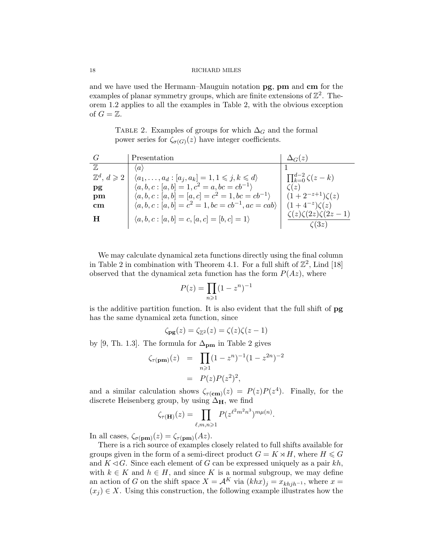and we have used the Hermann–Mauguin notation pg, pm and cm for the examples of planar symmetry groups, which are finite extensions of  $\mathbb{Z}^2$ . Theorem 1.2 applies to all the examples in Table 2, with the obvious exception of  $G=\mathbb{Z}$ .

> TABLE 2. Examples of groups for which  $\Delta_G$  and the formal power series for  $\zeta_{\sigma(G)}(z)$  have integer coefficients.

| Presentation                                                            | $\Delta_G(z)$                                                                                                                        |
|-------------------------------------------------------------------------|--------------------------------------------------------------------------------------------------------------------------------------|
| $\langle a \rangle$                                                     |                                                                                                                                      |
| $\langle a_1, \ldots, a_d : [a_j, a_k] = 1, 1 \leq j, k \leq d \rangle$ | $\prod_{k=0}^{d-2} \zeta(z-k)$                                                                                                       |
|                                                                         | $\zeta(z)$                                                                                                                           |
|                                                                         | $(1+2^{-z+1})\zeta(z)$                                                                                                               |
| $(a, b, c : [a, b] = c^2 = 1, bc = cb^{-1}, ac = cab)$                  | $(1+4^{-z})\zeta(z)$                                                                                                                 |
| $\langle a, b, c : [a, b] = c, [a, c] = [b, c] = 1 \rangle$             | $\zeta(z)\zeta(2z)\zeta(2z-1)$<br>(3z)                                                                                               |
|                                                                         | $\langle a, b, c : [a, b] = 1, c^2 = a, bc = cb^{-1} \rangle$<br>$\langle a, b, c : [a, b] = [a, c] = c^2 = 1, bc = cb^{-1} \rangle$ |

We may calculate dynamical zeta functions directly using the final column in Table 2 in combination with Theorem 4.1. For a full shift of  $\mathbb{Z}^2$ , Lind [18] observed that the dynamical zeta function has the form  $P(Az)$ , where

$$
P(z) = \prod_{n \geqslant 1} (1 - z^n)^{-1}
$$

is the additive partition function. It is also evident that the full shift of pg has the same dynamical zeta function, since

$$
\zeta_{\mathbf{pg}}(z) = \zeta_{\mathbb{Z}^2}(z) = \zeta(z)\zeta(z-1)
$$

by [9, Th. 1.3]. The formula for  $\Delta_{\text{pm}}$  in Table 2 gives

$$
\zeta_{\tau(\mathbf{pm})}(z) = \prod_{n \geqslant 1} (1 - z^n)^{-1} (1 - z^{2n})^{-2}
$$

$$
= P(z)P(z^2)^2,
$$

and a similar calculation shows  $\zeta_{\tau(\mathbf{cm})}(z) = P(z)P(z^4)$ . Finally, for the discrete Heisenberg group, by using  $\Delta_H$ , we find

$$
\zeta_{\tau(\mathbf{H})}(z) = \prod_{\ell,m,n \geqslant 1} P(z^{\ell^2 m^2 n^3})^{m \mu(n)}.
$$

In all cases,  $\zeta_{\sigma(p\mathbf{m})}(z) = \zeta_{\tau(p\mathbf{m})}(Az)$ .

There is a rich source of examples closely related to full shifts available for groups given in the form of a semi-direct product  $G = K \rtimes H$ , where  $H \le G$ and  $K \triangleleft G$ . Since each element of G can be expressed uniquely as a pair kh, with  $k \in K$  and  $h \in H$ , and since K is a normal subgroup, we may define an action of G on the shift space  $X = A^K$  via  $(khx)_j = x_{khjh^{-1}}$ , where  $x =$  $(x_i) \in X$ . Using this construction, the following example illustrates how the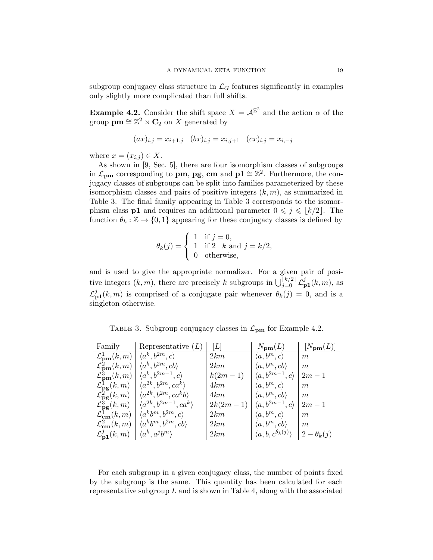subgroup conjugacy class structure in  $\mathcal{L}_G$  features significantly in examples only slightly more complicated than full shifts.

**Example 4.2.** Consider the shift space  $X = \mathcal{A}^{\mathbb{Z}^2}$  and the action  $\alpha$  of the group  $\mathbf{p}\mathbf{m} \cong \mathbb{Z}^2 \rtimes \mathbf{C}_2$  on X generated by

$$
(ax)_{i,j} = x_{i+1,j} \quad (bx)_{i,j} = x_{i,j+1} \quad (cx)_{i,j} = x_{i,-j}
$$

where  $x = (x_{i,j}) \in X$ .

As shown in [9, Sec. 5], there are four isomorphism classes of subgroups in  $\mathcal{L}_{\mathbf{p}\mathbf{m}}$  corresponding to **pm, pg, cm** and  $\mathbf{p1} \cong \mathbb{Z}^2$ . Furthermore, the conjugacy classes of subgroups can be split into families parameterized by these isomorphism classes and pairs of positive integers  $(k, m)$ , as summarized in Table 3. The final family appearing in Table 3 corresponds to the isomorphism class **p1** and requires an additional parameter  $0 \leq j \leq \lfloor k/2 \rfloor$ . The function  $\theta_k : \mathbb{Z} \to \{0,1\}$  appearing for these conjugacy classes is defined by

$$
\theta_k(j) = \begin{cases} 1 & \text{if } j = 0, \\ 1 & \text{if } 2 \mid k \text{ and } j = k/2, \\ 0 & \text{otherwise,} \end{cases}
$$

and is used to give the appropriate normalizer. For a given pair of positive integers  $(k, m)$ , there are precisely k subgroups in  $\bigcup_{j=0}^{\lfloor k/2 \rfloor} \mathcal{L}_{\mathbf{p1}}^{j}(k, m)$ , as  $\mathcal{L}_{\mathbf{p1}}^{j}(k,m)$  is comprised of a conjugate pair whenever  $\theta_{k}(j) = 0$ , and is a singleton otherwise.

TABLE 3. Subgroup conjugacy classes in  $\mathcal{L}_{\text{pm}}$  for Example 4.2.

| Family                                                          | Representative $(L)$                     | L          | $N_{\mathbf{p}\mathbf{m}}(L)$           | $[N_{\mathbf{pm}}(L)]$ |
|-----------------------------------------------------------------|------------------------------------------|------------|-----------------------------------------|------------------------|
| $\mathcal{L}^1_{\mathbf{pm}}(k,m)$                              | $\langle a^k, b^{2m}, c \rangle$         | 2km        | $\langle a, b^m, c \rangle$             | m                      |
| $\mathcal{L}^2_{\mathbf{pm}}(k,m)$                              | $\langle a^k, b^{2m}, cb \rangle$        | 2km        | $\langle a, b^m, cb \rangle$            | m                      |
| $\mathcal{L}^3_{\mathbf{p}\mathbf{m}}(k,m)$                     | $\langle a^k, b^{2m-1}, c \rangle$       | $k(2m-1)$  | $\langle a, b^{2m-1}, c \rangle$        | $2m-1$                 |
| $\mathcal{L}_{\mathbf{pg}}^1(k,m)$                              | $\langle a^{2k}, b^{2m}, ca^k \rangle$   | 4km        | $\langle a, b^m, c \rangle$             | m                      |
| $\mathcal{L}^2_{\mathbf{pg}}(k,m)$                              | $\langle a^{2k}, b^{2m}, ca^k b \rangle$ | 4km        | $\langle a, b^m, cb \rangle$            | m                      |
| $\mathcal{L}^{\mathbf{5}^{\mathbf{\infty}}}_{\mathbf{pg}}(k,m)$ | $\langle a^{2k}, b^{2m-1}, ca^k \rangle$ | $2k(2m-1)$ | $\langle a, b^{2m-1}, c \rangle$        | $2m-1$                 |
| $\mathcal{L}_{\text{cm}}^1(k,m)$                                | $\langle a^k b^m, b^{2m}, c \rangle$     | 2km        | $\langle a, b^m, c \rangle$             | m                      |
| $\mathcal{L}_{\text{cm}}^2(k,m)$                                | $\langle a^k b^m, b^{2m}, cb \rangle$    | 2km        | $\langle a, b^m, cb \rangle$            | m                      |
| $\mathcal{L}_{\mathbf{p1}}^{\jmath}(k,m)$                       | $\langle a^k, a^j b^m \rangle$           | 2km        | $\langle a, b, c^{\theta_k(j)} \rangle$ | $2-\theta_k(j)$        |

For each subgroup in a given conjugacy class, the number of points fixed by the subgroup is the same. This quantity has been calculated for each representative subgroup  $L$  and is shown in Table 4, along with the associated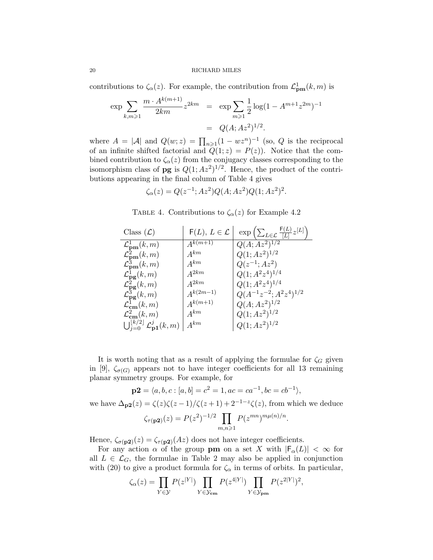contributions to  $\zeta_{\alpha}(z)$ . For example, the contribution from  $\mathcal{L}^1_{\text{pm}}(k,m)$  is

$$
\exp \sum_{k,m\geqslant 1} \frac{m \cdot A^{k(m+1)}}{2km} z^{2km} = \exp \sum_{m\geqslant 1} \frac{1}{2} \log(1 - A^{m+1} z^{2m})^{-1}
$$

$$
= Q(A; Az^2)^{1/2}.
$$

where  $A = |\mathcal{A}|$  and  $Q(w; z) = \prod_{n \geq 1} (1 - wz^n)^{-1}$  (so, Q is the reciprocal of an infinite shifted factorial and  $Q(1; z) = P(z)$ . Notice that the combined contribution to  $\zeta_{\alpha}(z)$  from the conjugacy classes corresponding to the isomorphism class of **pg** is  $Q(1; Az^2)^{1/2}$ . Hence, the product of the contributions appearing in the final column of Table 4 gives

$$
\zeta_{\alpha}(z) = Q(z^{-1}; Az^2)Q(A; Az^2)Q(1; Az^2)^2.
$$

TABLE 4. Contributions to  $\zeta_{\alpha}(z)$  for Example 4.2

| Class $(\mathcal{L})$                                                | $F(L), L \in \mathcal{L}$ | $\exp\left(\sum_{L\in\mathcal{L}}\frac{\mathsf{F}(L)}{ L }z^{[L]}\right)$ |
|----------------------------------------------------------------------|---------------------------|---------------------------------------------------------------------------|
| $\mathcal{L}^1_{\textbf{pm}}(k,m)$                                   | $A^{k(m+1)}$              | $Q(A; \overline{Az^2)^{1/2}}$                                             |
| $\mathcal{L}^2_{\mathbf{pm}}(k,m)$                                   | $A^{km}$                  | $Q(1;Az^2)^{1/2}$                                                         |
| $\mathcal{L}^3_{\textbf{pm}}(k,m)$                                   | $A^{km}$                  | $Q(z^{-1};Az^2)$                                                          |
| $\mathcal{L}_{\mathbf{pg}}^1(k,m)$                                   | $A^{2km}$                 | $Q(1;A^2z^4)^{1/4}$                                                       |
| $\mathcal{L}^2_{\mathbf{pg}}(k,m)$                                   | $A^{2km}$                 | $Q(1;A^2z^4)^{1/4}$                                                       |
| $\mathcal{L}^3_{\mathbf{p}\mathbf{g}}(k,m)$                          | $A^{k(2m-1)}$             | $Q(A^{-1}z^{-2}; A^2z^4)^{1/2}$                                           |
| $\mathcal{L}_{\text{cm}}^1(k,m)$                                     | $A^{k(m+1)}$              | $Q(A;Az^2)^{1/2}$                                                         |
| $\mathcal{L}_{\text{cm}}^2(k,m)$                                     | $A^{km}$                  | $Q(1;Az^2)^{1/2}$                                                         |
| $\bigcup_{j=0}^{\lfloor k/2\rfloor} \mathcal{L}^{j}_{{\bf p1}}(k,m)$ | $A^{km}$                  | $Q(1;Az^2)^{1/2}$                                                         |

It is worth noting that as a result of applying the formulae for  $\zeta_G$  given in [9],  $\zeta_{\sigma(G)}$  appears not to have integer coefficients for all 13 remaining planar symmetry groups. For example, for

$$
\mathbf{p2} = \langle a, b, c : [a, b] = c^2 = 1, ac = ca^{-1}, bc = cb^{-1} \rangle,
$$

we have  $\Delta_{\mathbf{p2}}(z) = \zeta(z)\zeta(z-1)/\zeta(z+1) + 2^{-1-z}\zeta(z)$ , from which we deduce

$$
\zeta_{\tau(\mathbf{p2})}(z) = P(z^2)^{-1/2} \prod_{m,n \geq 1} P(z^{mn})^{m\mu(n)/n}
$$

.

Hence,  $\zeta_{\sigma(p2)}(z) = \zeta_{\tau(p2)}(Az)$  does not have integer coefficients.

For any action  $\alpha$  of the group pm on a set X with  $|F_{\alpha}(L)| < \infty$  for all  $L \in \mathcal{L}_G$ , the formulae in Table 2 may also be applied in conjunction with (20) to give a product formula for  $\zeta_{\alpha}$  in terms of orbits. In particular,

$$
\zeta_{\alpha}(z) = \prod_{Y \in \mathcal{Y}} P(z^{|Y|}) \prod_{Y \in \mathcal{Y}_{\text{cm}}} P(z^{4|Y|}) \prod_{Y \in \mathcal{Y}_{\text{pm}}} P(z^{2|Y|})^2,
$$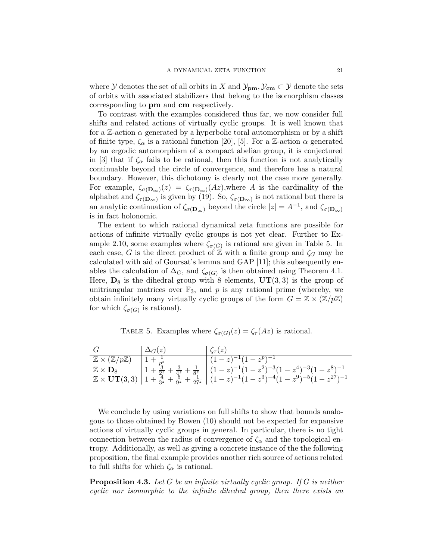where Y denotes the set of all orbits in X and  $\mathcal{Y}_{pm}$ ,  $\mathcal{Y}_{cm} \subset \mathcal{Y}$  denote the sets of orbits with associated stabilizers that belong to the isomorphism classes corresponding to pm and cm respectively.

To contrast with the examples considered thus far, we now consider full shifts and related actions of virtually cyclic groups. It is well known that for a Z-action  $\alpha$  generated by a hyperbolic toral automorphism or by a shift of finite type,  $\zeta_{\alpha}$  is a rational function [20], [5]. For a Z-action  $\alpha$  generated by an ergodic automorphism of a compact abelian group, it is conjectured in [3] that if  $\zeta_{\alpha}$  fails to be rational, then this function is not analytically continuable beyond the circle of convergence, and therefore has a natural boundary. However, this dichotomy is clearly not the case more generally. For example,  $\zeta_{\sigma(\mathbf{D}_{\infty})}(z) = \zeta_{\tau(\mathbf{D}_{\infty})}(Az)$ , where A is the cardinality of the alphabet and  $\zeta_{\tau(\mathbf{D}_{\infty})}$  is given by (19). So,  $\zeta_{\sigma(\mathbf{D}_{\infty})}$  is not rational but there is an analytic continuation of  $\zeta_{\sigma(\mathbf{D}_{\infty})}$  beyond the circle  $|z| = A^{-1}$ , and  $\zeta_{\sigma(\mathbf{D}_{\infty})}$ is in fact holonomic.

The extent to which rational dynamical zeta functions are possible for actions of infinite virtually cyclic groups is not yet clear. Further to Example 2.10, some examples where  $\zeta_{\sigma(G)}$  is rational are given in Table 5. In each case, G is the direct product of  $\mathbb{Z}$  with a finite group and  $\zeta_G$  may be calculated with aid of Goursat's lemma and GAP [11]; this subsequently enables the calculation of  $\Delta_G$ , and  $\zeta_{\sigma(G)}$  is then obtained using Theorem 4.1. Here,  $\mathbf{D}_8$  is the dihedral group with 8 elements,  $\mathbf{UT}(3,3)$  is the group of unitriangular matrices over  $\mathbb{F}_3$ , and p is any rational prime (whereby, we obtain infinitely many virtually cyclic groups of the form  $G = \mathbb{Z} \times (\mathbb{Z}/p\mathbb{Z})$ for which  $\zeta_{\sigma(G)}$  is rational).

TABLE 5. Examples where  $\zeta_{\sigma(G)}(z) = \zeta_{\tau}(Az)$  is rational.

| G                                                                | $\Delta_G(z)$ | $\zeta_{\tau}(z)$                                                                                                                                                                                                                                                                                                                                                                       |
|------------------------------------------------------------------|---------------|-----------------------------------------------------------------------------------------------------------------------------------------------------------------------------------------------------------------------------------------------------------------------------------------------------------------------------------------------------------------------------------------|
| $\mathbb{Z} \times (\mathbb{Z}/p\mathbb{Z})$ $1 + \frac{1}{p^z}$ |               | $(1-z)^{-1}(1-z^p)^{-1}$                                                                                                                                                                                                                                                                                                                                                                |
|                                                                  |               |                                                                                                                                                                                                                                                                                                                                                                                         |
|                                                                  |               | $\mathbb{Z} \times \mathbf{D}_8 \begin{pmatrix} 1 + \frac{5}{2^z} + \frac{3}{4^z} + \frac{1}{8^z} \\ 1 + \frac{4}{3^z} + \frac{5}{9^z} + \frac{5}{27^z} \end{pmatrix} (1-z)^{-1} (1-z^2)^{-3} (1-z^4)^{-3} (1-z^8)^{-1} \\ \times \mathbf{UT}(3,3) \begin{pmatrix} 1 + \frac{4}{3^z} + \frac{5}{9^z} + \frac{5}{27^z} \end{pmatrix} (1-z)^{-1} (1-z^3)^{-4} (1-z^9)^{-5} (1-z^2^7)^{-1$ |

We conclude by using variations on full shifts to show that bounds analogous to those obtained by Bowen (10) should not be expected for expansive actions of virtually cyclic groups in general. In particular, there is no tight connection between the radius of convergence of  $\zeta_{\alpha}$  and the topological entropy. Additionally, as well as giving a concrete instance of the the following proposition, the final example provides another rich source of actions related to full shifts for which  $\zeta_{\alpha}$  is rational.

**Proposition 4.3.** Let G be an infinite virtually cyclic group. If G is neither cyclic nor isomorphic to the infinite dihedral group, then there exists an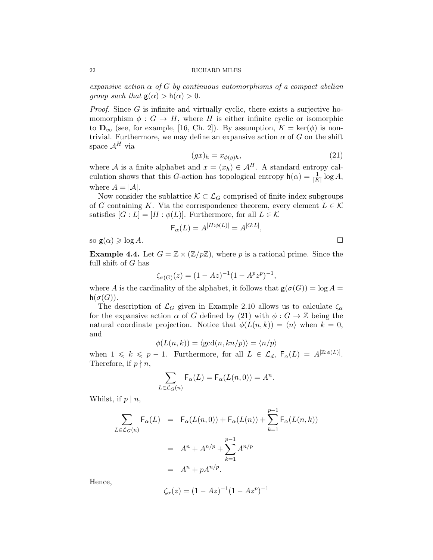expansive action  $\alpha$  of G by continuous automorphisms of a compact abelian *group such that*  $g(\alpha) > h(\alpha) > 0$ .

*Proof.* Since  $G$  is infinite and virtually cyclic, there exists a surjective homomorphism  $\phi : G \to H$ , where H is either infinite cyclic or isomorphic to  $\mathbf{D}_{\infty}$  (see, for example, [16, Ch. 2]). By assumption,  $K = \text{ker}(\phi)$  is nontrivial. Furthermore, we may define an expansive action  $\alpha$  of G on the shift space  $\mathcal{A}^H$  via

$$
(gx)_h = x_{\phi(g)h},\tag{21}
$$

where A is a finite alphabet and  $x = (x_h) \in A^H$ . A standard entropy calculation shows that this G-action has topological entropy  $h(\alpha) = \frac{1}{|K|} \log A$ , where  $A = |\mathcal{A}|$ .

Now consider the sublattice  $\mathcal{K} \subset \mathcal{L}_G$  comprised of finite index subgroups of G containing K. Via the correspondence theorem, every element  $L \in \mathcal{K}$ satisfies  $[G: L] = [H: \phi(L)]$ . Furthermore, for all  $L \in \mathcal{K}$ 

$$
\mathsf{F}_{\alpha}(L) = A^{[H:\phi(L)]} = A^{[G:L]},
$$

so  $g(\alpha) \geq \log A$ .

**Example 4.4.** Let  $G = \mathbb{Z} \times (\mathbb{Z}/p\mathbb{Z})$ , where p is a rational prime. Since the full shift of G has

$$
\zeta_{\sigma(G)}(z) = (1 - Az)^{-1} (1 - A^p z^p)^{-1},
$$

where A is the cardinality of the alphabet, it follows that  $g(\sigma(G)) = \log A =$  $h(\sigma(G)).$ 

The description of  $\mathcal{L}_G$  given in Example 2.10 allows us to calculate  $\zeta_\alpha$ for the expansive action  $\alpha$  of G defined by (21) with  $\phi : G \to \mathbb{Z}$  being the natural coordinate projection. Notice that  $\phi(L(n, k)) = \langle n \rangle$  when  $k = 0$ , and

$$
\phi(L(n,k)) = \langle \gcd(n, kn/p) \rangle = \langle n/p \rangle
$$

when  $1 \leq k \leq p-1$ . Furthermore, for all  $L \in \mathcal{L}_d$ ,  $F_\alpha(L) = A^{[\mathbb{Z}:\phi(L)]}$ . Therefore, if  $p \nmid n$ ,

$$
\sum_{L \in \mathcal{L}_G(n)} \mathsf{F}_{\alpha}(L) = \mathsf{F}_{\alpha}(L(n,0)) = A^n.
$$

Whilst, if  $p \mid n$ ,

$$
\sum_{L \in \mathcal{L}_G(n)} \mathsf{F}_{\alpha}(L) = \mathsf{F}_{\alpha}(L(n,0)) + \mathsf{F}_{\alpha}(L(n)) + \sum_{k=1}^{p-1} \mathsf{F}_{\alpha}(L(n,k))
$$

$$
= A^n + A^{n/p} + \sum_{k=1}^{p-1} A^{n/p}
$$

$$
= A^n + p A^{n/p}.
$$

Hence,

$$
\zeta_{\alpha}(z) = (1 - Az)^{-1} (1 - Az^p)^{-1}
$$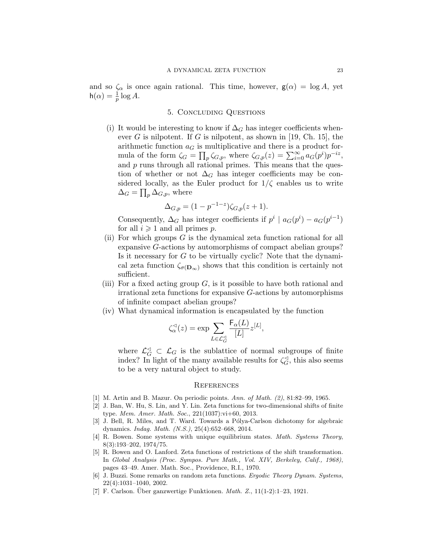and so  $\zeta_{\alpha}$  is once again rational. This time, however,  $g(\alpha) = \log A$ , yet  $h(\alpha) = \frac{1}{p} \log A.$ 

# 5. Concluding Questions

(i) It would be interesting to know if  $\Delta_G$  has integer coefficients whenever G is nilpotent. If G is nilpotent, as shown in [19, Ch. 15], the arithmetic function  $a_G$  is multiplicative and there is a product formula of the form  $\zeta_G = \prod_p \zeta_{G,p}$ , where  $\zeta_{G,p}(z) = \sum_{i=0}^{\infty} a_G(p^i) p^{-iz}$ , and  $p$  runs through all rational primes. This means that the question of whether or not  $\Delta_G$  has integer coefficients may be considered locally, as the Euler product for  $1/\zeta$  enables us to write  $\Delta_G = \prod_p \Delta_{G,p}$ , where

$$
\Delta_{G,p} = (1 - p^{-1-z})\zeta_{G,p}(z+1).
$$

Consequently,  $\Delta_G$  has integer coefficients if  $p^i \mid a_G(p^i) - a_G(p^{i-1})$ for all  $i \geqslant 1$  and all primes p.

- (ii) For which groups  $G$  is the dynamical zeta function rational for all expansive G-actions by automorphisms of compact abelian groups? Is it necessary for  $G$  to be virtually cyclic? Note that the dynamical zeta function  $\zeta_{\sigma(\mathbf{D}_{\infty})}$  shows that this condition is certainly not sufficient.
- (iii) For a fixed acting group  $G$ , is it possible to have both rational and irrational zeta functions for expansive G-actions by automorphisms of infinite compact abelian groups?
- (iv) What dynamical information is encapsulated by the function

$$
\zeta_{\alpha}^{\lhd}(z) = \exp \sum_{L \in \mathcal{L}_G^{\lhd}} \frac{\mathsf{F}_{\alpha}(L)}{[L]} z^{[L]},
$$

where  $\mathcal{L}_G^{\lhd} \subset \mathcal{L}_G$  is the sublattice of normal subgroups of finite index? In light of the many available results for  $\zeta_{\alpha}^{\triangleleft}$  $\mathcal{G}$ , this also seems to be a very natural object to study.

# **REFERENCES**

- [1] M. Artin and B. Mazur. On periodic points. Ann. of Math. (2), 81:82–99, 1965.
- [2] J. Ban, W. Hu, S. Lin, and Y. Lin. Zeta functions for two-dimensional shifts of finite type. Mem. Amer. Math. Soc., 221(1037):vi+60, 2013.
- [3] J. Bell, R. Miles, and T. Ward. Towards a Pólya-Carlson dichotomy for algebraic dynamics. Indag. Math. (N.S.), 25(4):652–668, 2014.
- [4] R. Bowen. Some systems with unique equilibrium states. Math. Systems Theory, 8(3):193–202, 1974/75.
- [5] R. Bowen and O. Lanford. Zeta functions of restrictions of the shift transformation. In Global Analysis (Proc. Sympos. Pure Math., Vol. XIV, Berkeley, Calif., 1968), pages 43–49. Amer. Math. Soc., Providence, R.I., 1970.
- [6] J. Buzzi. Some remarks on random zeta functions. Ergodic Theory Dynam. Systems, 22(4):1031–1040, 2002.
- [7] F. Carlson. Über ganzwertige Funktionen.  $Math. Z., 11(1-2):1-23, 1921.$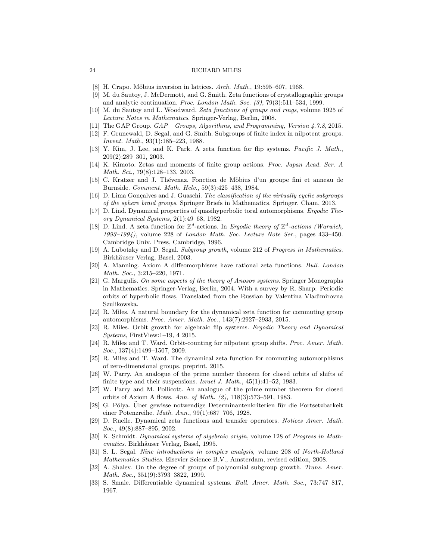- [8] H. Crapo. Möbius inversion in lattices. Arch. Math.,  $19:595-607$ , 1968.
- [9] M. du Sautoy, J. McDermott, and G. Smith. Zeta functions of crystallographic groups and analytic continuation. Proc. London Math. Soc. (3), 79(3):511–534, 1999.
- [10] M. du Sautoy and L. Woodward. Zeta functions of groups and rings, volume 1925 of Lecture Notes in Mathematics. Springer-Verlag, Berlin, 2008.
- [11] The GAP Group.  $GAP$  Groups, Algorithms, and Programming, Version 4.7.8, 2015.
- [12] F. Grunewald, D. Segal, and G. Smith. Subgroups of finite index in nilpotent groups. Invent. Math., 93(1):185–223, 1988.
- [13] Y. Kim, J. Lee, and K. Park. A zeta function for flip systems. Pacific J. Math., 209(2):289–301, 2003.
- [14] K. Kimoto. Zetas and moments of finite group actions. Proc. Japan Acad. Ser. A Math. Sci., 79(8):128–133, 2003.
- [15] C. Kratzer and J. Th´evenaz. Fonction de M¨obius d'un groupe fini et anneau de Burnside. Comment. Math. Helv., 59(3):425–438, 1984.
- [16] D. Lima Gonçalves and J. Guaschi. The classification of the virtually cyclic subgroups of the sphere braid groups. Springer Briefs in Mathematics. Springer, Cham, 2013.
- [17] D. Lind. Dynamical properties of quasihyperbolic toral automorphisms. Ergodic Theory Dynamical Systems, 2(1):49–68, 1982.
- [18] D. Lind. A zeta function for  $\mathbb{Z}^d$ -actions. In Ergodic theory of  $\mathbb{Z}^d$ -actions (Warwick, 1993–1994), volume 228 of London Math. Soc. Lecture Note Ser., pages 433–450. Cambridge Univ. Press, Cambridge, 1996.
- [19] A. Lubotzky and D. Segal. Subgroup growth, volume 212 of Progress in Mathematics. Birkhäuser Verlag, Basel, 2003.
- [20] A. Manning. Axiom A diffeomorphisms have rational zeta functions. Bull. London Math. Soc., 3:215–220, 1971.
- [21] G. Margulis. On some aspects of the theory of Anosov systems. Springer Monographs in Mathematics. Springer-Verlag, Berlin, 2004. With a survey by R. Sharp: Periodic orbits of hyperbolic flows, Translated from the Russian by Valentina Vladimirovna Szulikowska.
- [22] R. Miles. A natural boundary for the dynamical zeta function for commuting group automorphisms. Proc. Amer. Math. Soc., 143(7):2927–2933, 2015.
- [23] R. Miles. Orbit growth for algebraic flip systems. Ergodic Theory and Dynamical Systems, FirstView:1–19, 4 2015.
- [24] R. Miles and T. Ward. Orbit-counting for nilpotent group shifts. Proc. Amer. Math. Soc., 137(4):1499-1507, 2009.
- [25] R. Miles and T. Ward. The dynamical zeta function for commuting automorphisms of zero-dimensional groups. preprint, 2015.
- [26] W. Parry. An analogue of the prime number theorem for closed orbits of shifts of finite type and their suspensions. Israel J. Math., 45(1):41–52, 1983.
- [27] W. Parry and M. Pollicott. An analogue of the prime number theorem for closed orbits of Axiom A flows. Ann. of Math. (2), 118(3):573–591, 1983.
- [28] G. Pólya. Über gewisse notwendige Determinantenkriterien für die Fortsetzbarkeit einer Potenzreihe. Math. Ann., 99(1):687–706, 1928.
- [29] D. Ruelle. Dynamical zeta functions and transfer operators. Notices Amer. Math. Soc., 49(8):887-895, 2002.
- [30] K. Schmidt. Dynamical systems of algebraic origin, volume 128 of Progress in Mathematics. Birkhäuser Verlag, Basel, 1995.
- [31] S. L. Segal. Nine introductions in complex analysis, volume 208 of North-Holland Mathematics Studies. Elsevier Science B.V., Amsterdam, revised edition, 2008.
- [32] A. Shalev. On the degree of groups of polynomial subgroup growth. Trans. Amer. Math. Soc., 351(9):3793–3822, 1999.
- [33] S. Smale. Differentiable dynamical systems. Bull. Amer. Math. Soc., 73:747–817, 1967.